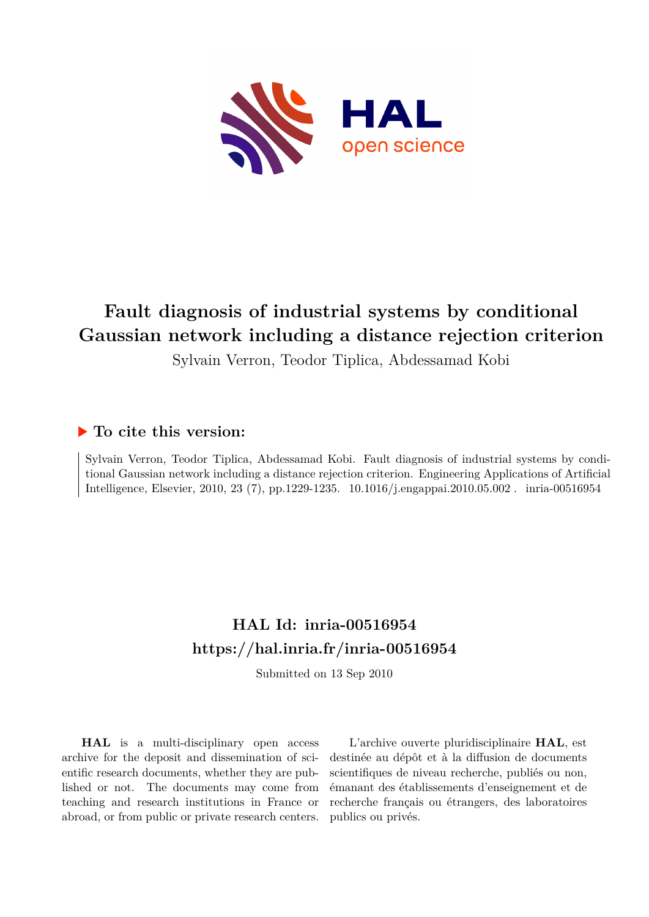

# **Fault diagnosis of industrial systems by conditional Gaussian network including a distance rejection criterion**

Sylvain Verron, Teodor Tiplica, Abdessamad Kobi

## **To cite this version:**

Sylvain Verron, Teodor Tiplica, Abdessamad Kobi. Fault diagnosis of industrial systems by conditional Gaussian network including a distance rejection criterion. Engineering Applications of Artificial Intelligence, Elsevier, 2010, 23 (7), pp.1229-1235. 10.1016/j.engappai.2010.05.002. inria-00516954

# **HAL Id: inria-00516954 <https://hal.inria.fr/inria-00516954>**

Submitted on 13 Sep 2010

**HAL** is a multi-disciplinary open access archive for the deposit and dissemination of scientific research documents, whether they are published or not. The documents may come from teaching and research institutions in France or abroad, or from public or private research centers.

L'archive ouverte pluridisciplinaire **HAL**, est destinée au dépôt et à la diffusion de documents scientifiques de niveau recherche, publiés ou non, émanant des établissements d'enseignement et de recherche français ou étrangers, des laboratoires publics ou privés.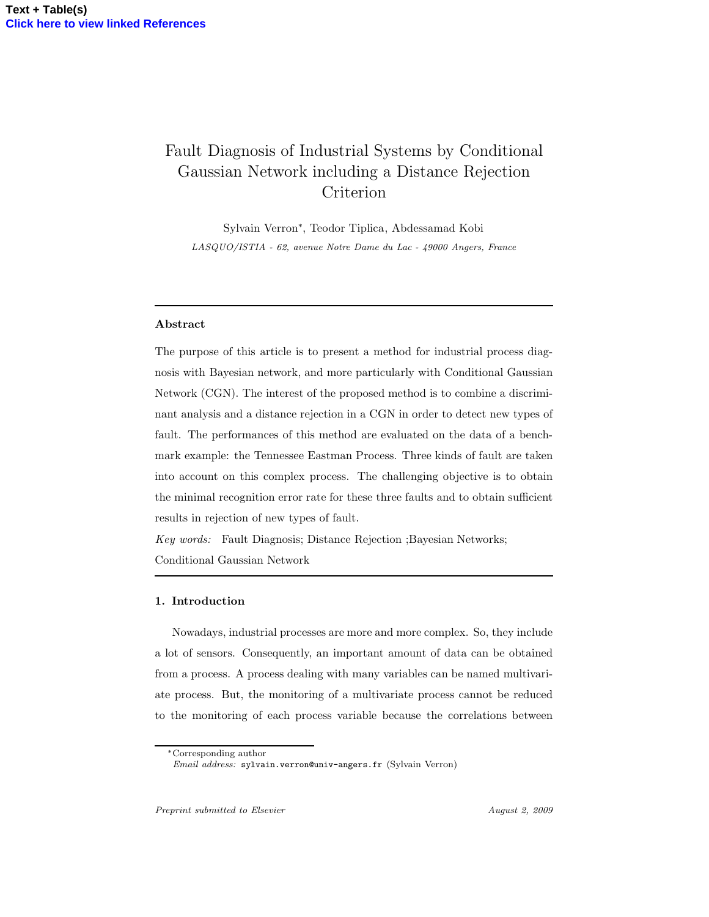# Fault Diagnosis of Industrial Systems by Conditional Gaussian Network including a Distance Rejection Criterion

Sylvain Verron<sup>∗</sup> , Teodor Tiplica, Abdessamad Kobi LASQUO/ISTIA - 62, avenue Notre Dame du Lac - 49000 Angers, France

### Abstract

The purpose of this article is to present a method for industrial process diagnosis with Bayesian network, and more particularly with Conditional Gaussian Network (CGN). The interest of the proposed method is to combine a discriminant analysis and a distance rejection in a CGN in order to detect new types of fault. The performances of this method are evaluated on the data of a benchmark example: the Tennessee Eastman Process. Three kinds of fault are taken into account on this complex process. The challenging objective is to obtain the minimal recognition error rate for these three faults and to obtain sufficient results in rejection of new types of fault.

Key words: Fault Diagnosis; Distance Rejection ;Bayesian Networks; Conditional Gaussian Network

### 1. Introduction

Nowadays, industrial processes are more and more complex. So, they include a lot of sensors. Consequently, an important amount of data can be obtained from a process. A process dealing with many variables can be named multivariate process. But, the monitoring of a multivariate process cannot be reduced to the monitoring of each process variable because the correlations between

<sup>∗</sup>Corresponding author

Email address: sylvain.verron@univ-angers.fr (Sylvain Verron)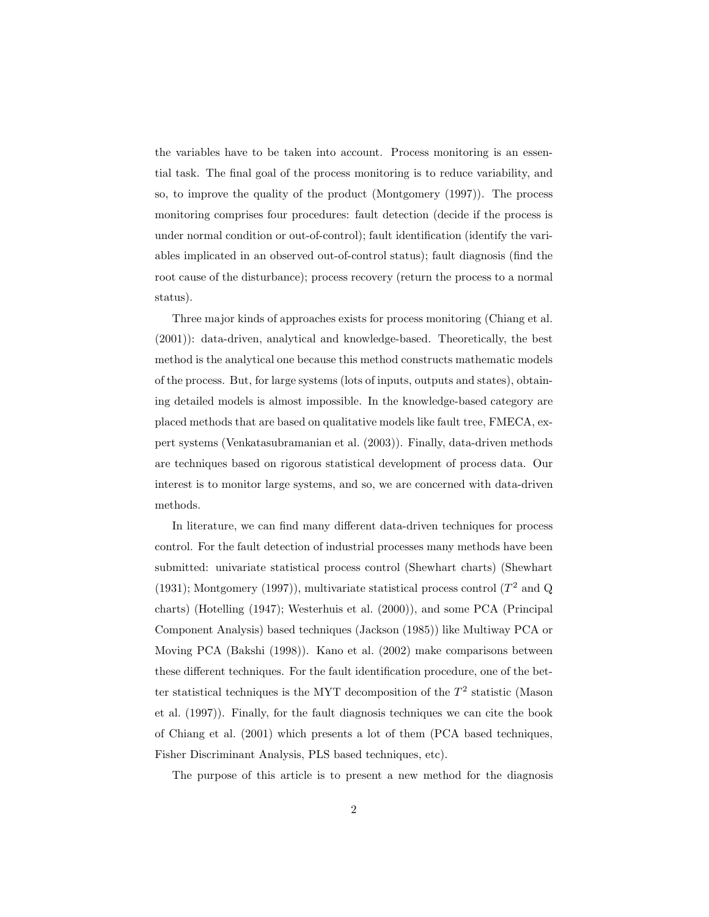the variables have to be taken into account. Process monitoring is an essential task. The final goal of the process monitoring is to reduce variability, and so, to improve the quality of the product (Montgomery (1997)). The process monitoring comprises four procedures: fault detection (decide if the process is under normal condition or out-of-control); fault identification (identify the variables implicated in an observed out-of-control status); fault diagnosis (find the root cause of the disturbance); process recovery (return the process to a normal status).

Three major kinds of approaches exists for process monitoring (Chiang et al. (2001)): data-driven, analytical and knowledge-based. Theoretically, the best method is the analytical one because this method constructs mathematic models of the process. But, for large systems (lots of inputs, outputs and states), obtaining detailed models is almost impossible. In the knowledge-based category are placed methods that are based on qualitative models like fault tree, FMECA, expert systems (Venkatasubramanian et al. (2003)). Finally, data-driven methods are techniques based on rigorous statistical development of process data. Our interest is to monitor large systems, and so, we are concerned with data-driven methods.

In literature, we can find many different data-driven techniques for process control. For the fault detection of industrial processes many methods have been submitted: univariate statistical process control (Shewhart charts) (Shewhart (1931); Montgomery (1997)), multivariate statistical process control ( $T^2$  and Q charts) (Hotelling (1947); Westerhuis et al. (2000)), and some PCA (Principal Component Analysis) based techniques (Jackson (1985)) like Multiway PCA or Moving PCA (Bakshi (1998)). Kano et al. (2002) make comparisons between these different techniques. For the fault identification procedure, one of the better statistical techniques is the MYT decomposition of the  $T^2$  statistic (Mason et al. (1997)). Finally, for the fault diagnosis techniques we can cite the book of Chiang et al. (2001) which presents a lot of them (PCA based techniques, Fisher Discriminant Analysis, PLS based techniques, etc).

The purpose of this article is to present a new method for the diagnosis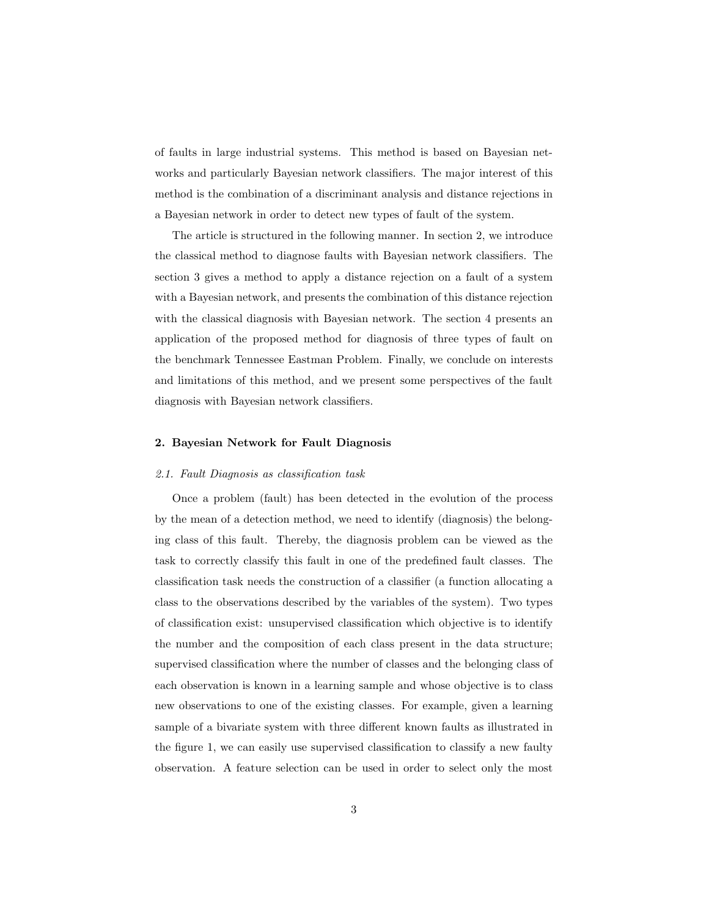of faults in large industrial systems. This method is based on Bayesian networks and particularly Bayesian network classifiers. The major interest of this method is the combination of a discriminant analysis and distance rejections in a Bayesian network in order to detect new types of fault of the system.

The article is structured in the following manner. In section 2, we introduce the classical method to diagnose faults with Bayesian network classifiers. The section 3 gives a method to apply a distance rejection on a fault of a system with a Bayesian network, and presents the combination of this distance rejection with the classical diagnosis with Bayesian network. The section 4 presents an application of the proposed method for diagnosis of three types of fault on the benchmark Tennessee Eastman Problem. Finally, we conclude on interests and limitations of this method, and we present some perspectives of the fault diagnosis with Bayesian network classifiers.

### 2. Bayesian Network for Fault Diagnosis

### 2.1. Fault Diagnosis as classification task

Once a problem (fault) has been detected in the evolution of the process by the mean of a detection method, we need to identify (diagnosis) the belonging class of this fault. Thereby, the diagnosis problem can be viewed as the task to correctly classify this fault in one of the predefined fault classes. The classification task needs the construction of a classifier (a function allocating a class to the observations described by the variables of the system). Two types of classification exist: unsupervised classification which objective is to identify the number and the composition of each class present in the data structure; supervised classification where the number of classes and the belonging class of each observation is known in a learning sample and whose objective is to class new observations to one of the existing classes. For example, given a learning sample of a bivariate system with three different known faults as illustrated in the figure 1, we can easily use supervised classification to classify a new faulty observation. A feature selection can be used in order to select only the most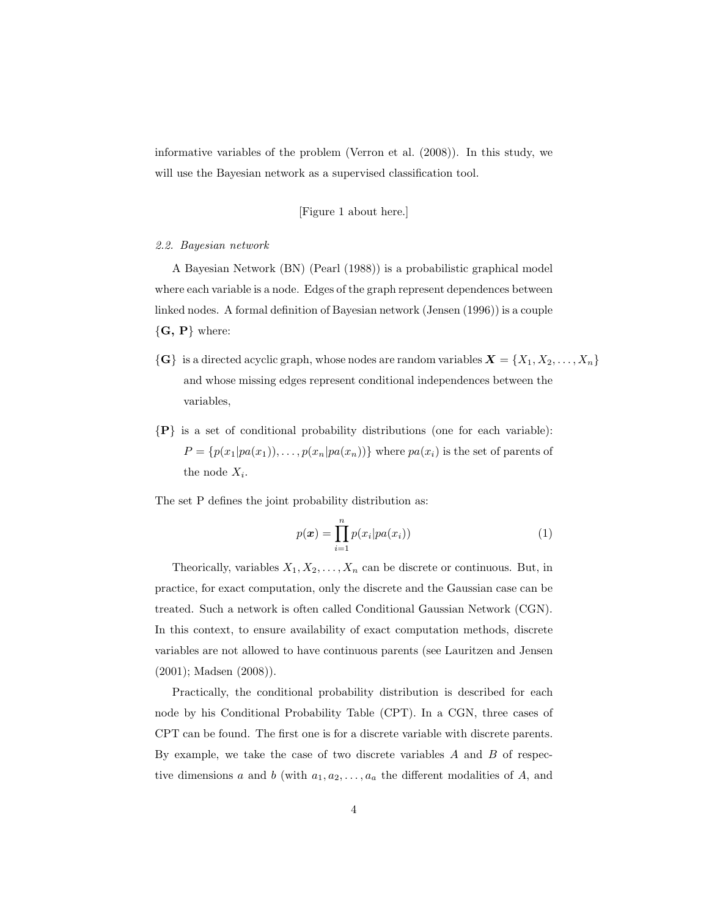informative variables of the problem (Verron et al. (2008)). In this study, we will use the Bayesian network as a supervised classification tool.

### [Figure 1 about here.]

#### 2.2. Bayesian network

A Bayesian Network (BN) (Pearl (1988)) is a probabilistic graphical model where each variable is a node. Edges of the graph represent dependences between linked nodes. A formal definition of Bayesian network (Jensen (1996)) is a couple  ${G, P}$  where:

- $\{G\}$  is a directed acyclic graph, whose nodes are random variables  $\boldsymbol{X} = \{X_1, X_2, \ldots, X_n\}$ and whose missing edges represent conditional independences between the variables,
- ${P}$  is a set of conditional probability distributions (one for each variable):  $P = \{p(x_1|pa(x_1)), \ldots, p(x_n|pa(x_n))\}$  where  $pa(x_i)$  is the set of parents of the node  $X_i$ .

The set P defines the joint probability distribution as:

$$
p(\boldsymbol{x}) = \prod_{i=1}^{n} p(x_i | pa(x_i))
$$
\n(1)

Theorically, variables  $X_1, X_2, \ldots, X_n$  can be discrete or continuous. But, in practice, for exact computation, only the discrete and the Gaussian case can be treated. Such a network is often called Conditional Gaussian Network (CGN). In this context, to ensure availability of exact computation methods, discrete variables are not allowed to have continuous parents (see Lauritzen and Jensen (2001); Madsen (2008)).

Practically, the conditional probability distribution is described for each node by his Conditional Probability Table (CPT). In a CGN, three cases of CPT can be found. The first one is for a discrete variable with discrete parents. By example, we take the case of two discrete variables  $A$  and  $B$  of respective dimensions a and b (with  $a_1, a_2, \ldots, a_a$  the different modalities of A, and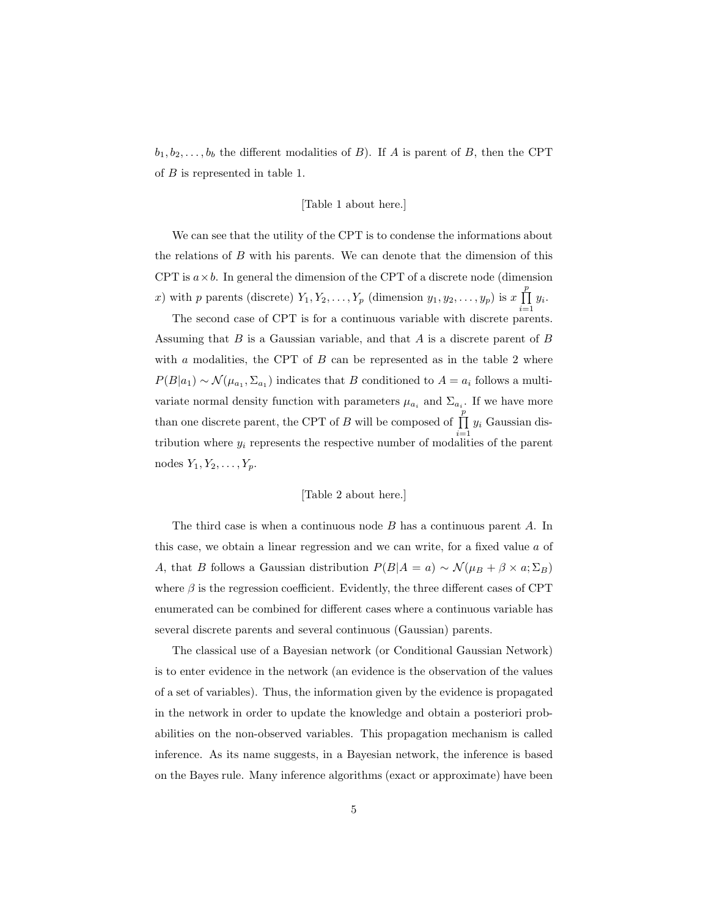$b_1, b_2, \ldots, b_b$  the different modalities of B). If A is parent of B, then the CPT of B is represented in table 1.

### [Table 1 about here.]

We can see that the utility of the CPT is to condense the informations about the relations of B with his parents. We can denote that the dimension of this CPT is  $a \times b$ . In general the dimension of the CPT of a discrete node (dimension x) with p parents (discrete)  $Y_1, Y_2, \ldots, Y_p$  (dimension  $y_1, y_2, \ldots, y_p$ ) is  $x \prod_{i=1}^p y_i$ .

The second case of CPT is for a continuous variable with discrete parents. Assuming that  $B$  is a Gaussian variable, and that  $A$  is a discrete parent of  $B$ with a modalities, the CPT of  $B$  can be represented as in the table 2 where  $P(B|a_1) \sim \mathcal{N}(\mu_{a_1}, \Sigma_{a_1})$  indicates that B conditioned to  $A = a_i$  follows a multivariate normal density function with parameters  $\mu_{a_i}$  and  $\Sigma_{a_i}$ . If we have more than one discrete parent, the CPT of B will be composed of  $\prod_{i=1}^{p} y_i$  Gaussian distribution where  $y_i$  represents the respective number of modalities of the parent nodes  $Y_1, Y_2, \ldots, Y_p$ .

### [Table 2 about here.]

The third case is when a continuous node B has a continuous parent A. In this case, we obtain a linear regression and we can write, for a fixed value  $a$  of A, that B follows a Gaussian distribution  $P(B|A = a) \sim \mathcal{N}(\mu_B + \beta \times a; \Sigma_B)$ where  $\beta$  is the regression coefficient. Evidently, the three different cases of CPT enumerated can be combined for different cases where a continuous variable has several discrete parents and several continuous (Gaussian) parents.

The classical use of a Bayesian network (or Conditional Gaussian Network) is to enter evidence in the network (an evidence is the observation of the values of a set of variables). Thus, the information given by the evidence is propagated in the network in order to update the knowledge and obtain a posteriori probabilities on the non-observed variables. This propagation mechanism is called inference. As its name suggests, in a Bayesian network, the inference is based on the Bayes rule. Many inference algorithms (exact or approximate) have been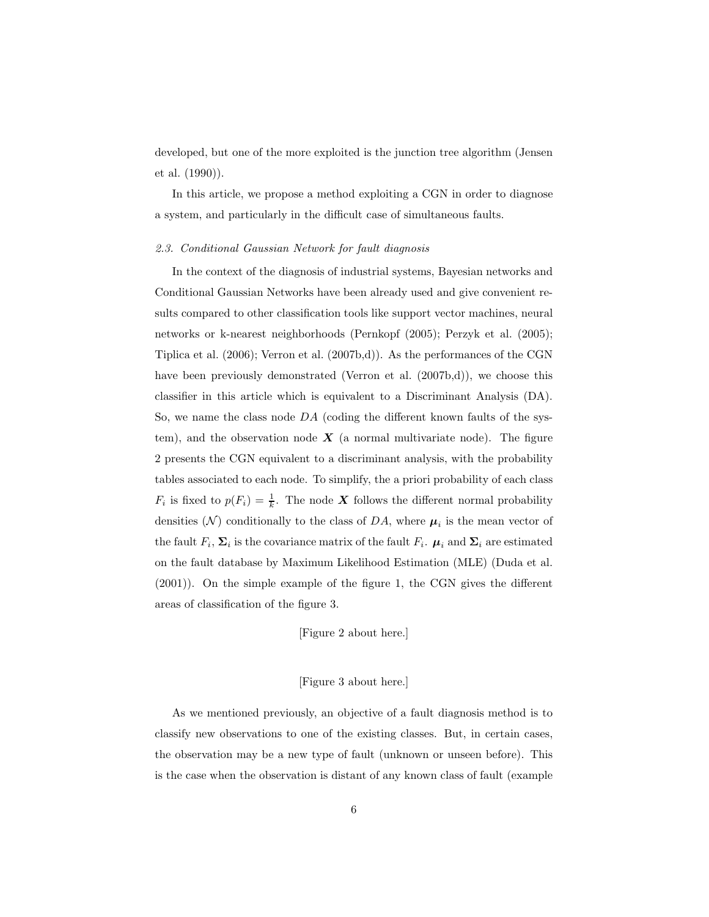developed, but one of the more exploited is the junction tree algorithm (Jensen et al. (1990)).

In this article, we propose a method exploiting a CGN in order to diagnose a system, and particularly in the difficult case of simultaneous faults.

### 2.3. Conditional Gaussian Network for fault diagnosis

In the context of the diagnosis of industrial systems, Bayesian networks and Conditional Gaussian Networks have been already used and give convenient results compared to other classification tools like support vector machines, neural networks or k-nearest neighborhoods (Pernkopf (2005); Perzyk et al. (2005); Tiplica et al. (2006); Verron et al. (2007b,d)). As the performances of the CGN have been previously demonstrated (Verron et al.  $(2007b,d)$ ), we choose this classifier in this article which is equivalent to a Discriminant Analysis (DA). So, we name the class node  $DA$  (coding the different known faults of the system), and the observation node  $\boldsymbol{X}$  (a normal multivariate node). The figure 2 presents the CGN equivalent to a discriminant analysis, with the probability tables associated to each node. To simplify, the a priori probability of each class  $F_i$  is fixed to  $p(F_i) = \frac{1}{k}$ . The node **X** follows the different normal probability densities  $(N)$  conditionally to the class of DA, where  $\mu_i$  is the mean vector of the fault  $F_i$ ,  $\Sigma_i$  is the covariance matrix of the fault  $F_i$ .  $\mu_i$  and  $\Sigma_i$  are estimated on the fault database by Maximum Likelihood Estimation (MLE) (Duda et al. (2001)). On the simple example of the figure 1, the CGN gives the different areas of classification of the figure 3.

[Figure 2 about here.]

### [Figure 3 about here.]

As we mentioned previously, an objective of a fault diagnosis method is to classify new observations to one of the existing classes. But, in certain cases, the observation may be a new type of fault (unknown or unseen before). This is the case when the observation is distant of any known class of fault (example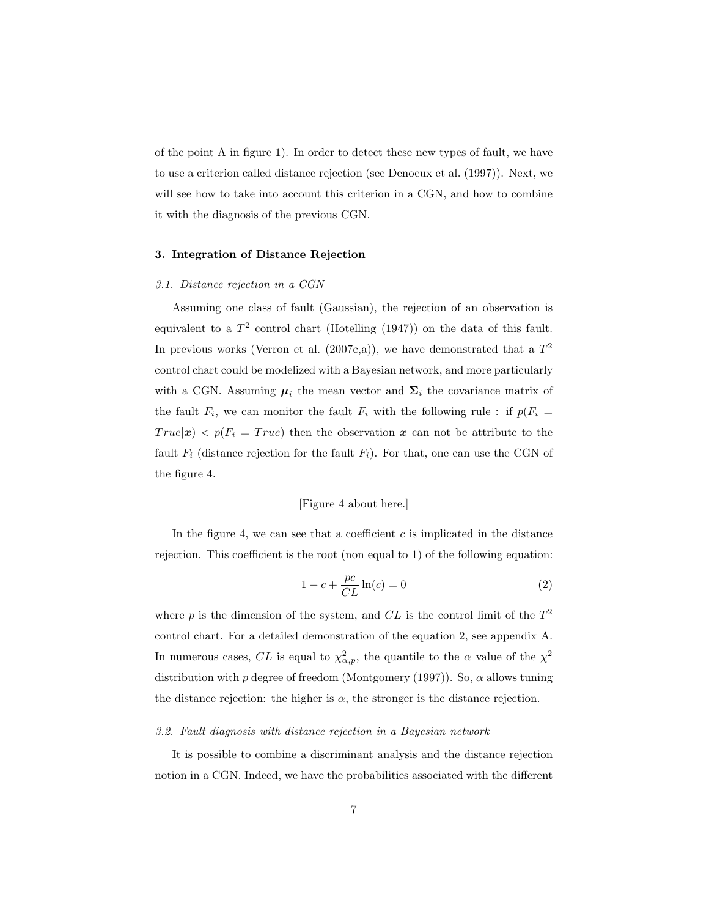of the point A in figure 1). In order to detect these new types of fault, we have to use a criterion called distance rejection (see Denoeux et al. (1997)). Next, we will see how to take into account this criterion in a CGN, and how to combine it with the diagnosis of the previous CGN.

### 3. Integration of Distance Rejection

### 3.1. Distance rejection in a CGN

Assuming one class of fault (Gaussian), the rejection of an observation is equivalent to a  $T^2$  control chart (Hotelling (1947)) on the data of this fault. In previous works (Verron et al. (2007c,a)), we have demonstrated that a  $T^2$ control chart could be modelized with a Bayesian network, and more particularly with a CGN. Assuming  $\mu_i$  the mean vector and  $\Sigma_i$  the covariance matrix of the fault  $F_i$ , we can monitor the fault  $F_i$  with the following rule : if  $p(F_i =$  $True|\boldsymbol{x})$  <  $p(F_i = True)$  then the observation  $\boldsymbol{x}$  can not be attribute to the fault  $F_i$  (distance rejection for the fault  $F_i$ ). For that, one can use the CGN of the figure 4.

### [Figure 4 about here.]

In the figure 4, we can see that a coefficient  $c$  is implicated in the distance rejection. This coefficient is the root (non equal to 1) of the following equation:

$$
1 - c + \frac{pc}{CL} \ln(c) = 0 \tag{2}
$$

where  $p$  is the dimension of the system, and  $CL$  is the control limit of the  $T<sup>2</sup>$ control chart. For a detailed demonstration of the equation 2, see appendix A. In numerous cases, CL is equal to  $\chi^2_{\alpha,p}$ , the quantile to the  $\alpha$  value of the  $\chi^2$ distribution with p degree of freedom (Montgomery (1997)). So,  $\alpha$  allows tuning the distance rejection: the higher is  $\alpha$ , the stronger is the distance rejection.

#### 3.2. Fault diagnosis with distance rejection in a Bayesian network

It is possible to combine a discriminant analysis and the distance rejection notion in a CGN. Indeed, we have the probabilities associated with the different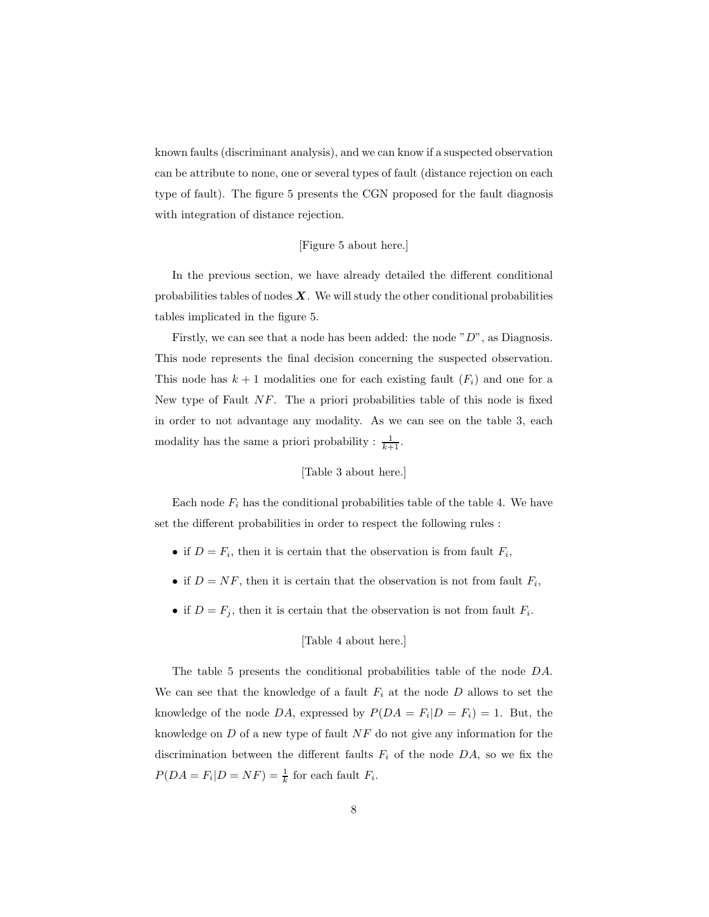known faults (discriminant analysis), and we can know if a suspected observation can be attribute to none, one or several types of fault (distance rejection on each type of fault). The figure 5 presents the CGN proposed for the fault diagnosis with integration of distance rejection.

### [Figure 5 about here.]

In the previous section, we have already detailed the different conditional probabilities tables of nodes  $\boldsymbol{X}$ . We will study the other conditional probabilities tables implicated in the figure 5.

Firstly, we can see that a node has been added: the node " $D$ ", as Diagnosis. This node represents the final decision concerning the suspected observation. This node has  $k + 1$  modalities one for each existing fault  $(F_i)$  and one for a New type of Fault NF. The a priori probabilities table of this node is fixed in order to not advantage any modality. As we can see on the table 3, each modality has the same a priori probability :  $\frac{1}{k+1}$ .

### [Table 3 about here.]

Each node  $F_i$  has the conditional probabilities table of the table 4. We have set the different probabilities in order to respect the following rules :

- if  $D = F_i$ , then it is certain that the observation is from fault  $F_i$ ,
- if  $D = NF$ , then it is certain that the observation is not from fault  $F_i$ ,
- if  $D = F_j$ , then it is certain that the observation is not from fault  $F_i$ .

### [Table 4 about here.]

The table 5 presents the conditional probabilities table of the node DA. We can see that the knowledge of a fault  $F_i$  at the node  $D$  allows to set the knowledge of the node DA, expressed by  $P(DA = F_i | D = F_i) = 1$ . But, the knowledge on  $D$  of a new type of fault  $NF$  do not give any information for the discrimination between the different faults  $F_i$  of the node DA, so we fix the  $P(DA = F_i | D = NF) = \frac{1}{k}$  for each fault  $F_i$ .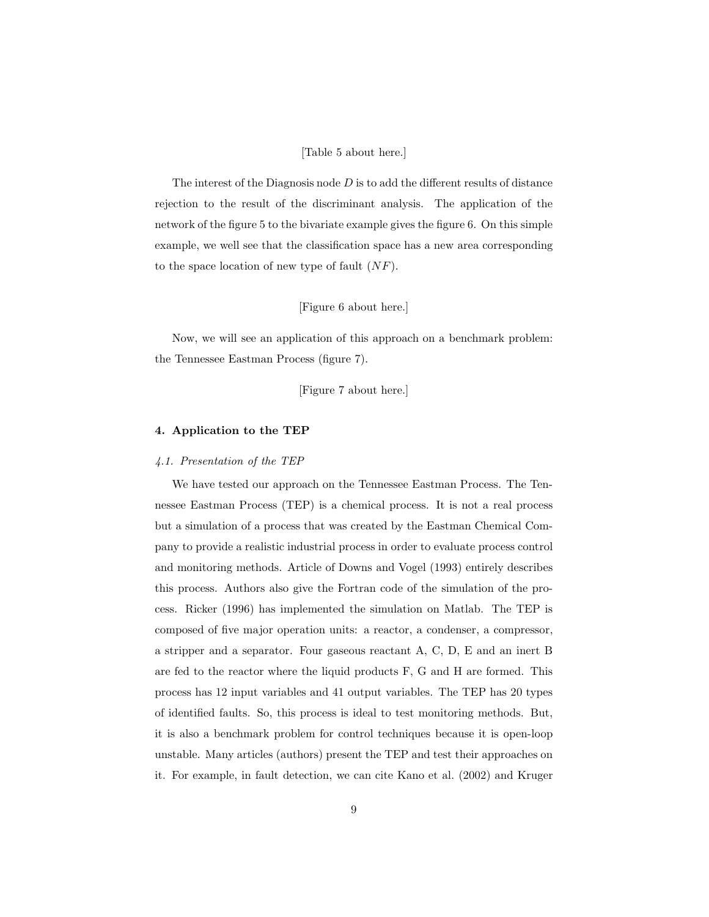### [Table 5 about here.]

The interest of the Diagnosis node  $D$  is to add the different results of distance rejection to the result of the discriminant analysis. The application of the network of the figure 5 to the bivariate example gives the figure 6. On this simple example, we well see that the classification space has a new area corresponding to the space location of new type of fault  $(NF)$ .

### [Figure 6 about here.]

Now, we will see an application of this approach on a benchmark problem: the Tennessee Eastman Process (figure 7).

[Figure 7 about here.]

### 4. Application to the TEP

### 4.1. Presentation of the TEP

We have tested our approach on the Tennessee Eastman Process. The Tennessee Eastman Process (TEP) is a chemical process. It is not a real process but a simulation of a process that was created by the Eastman Chemical Company to provide a realistic industrial process in order to evaluate process control and monitoring methods. Article of Downs and Vogel (1993) entirely describes this process. Authors also give the Fortran code of the simulation of the process. Ricker (1996) has implemented the simulation on Matlab. The TEP is composed of five major operation units: a reactor, a condenser, a compressor, a stripper and a separator. Four gaseous reactant A, C, D, E and an inert B are fed to the reactor where the liquid products F, G and H are formed. This process has 12 input variables and 41 output variables. The TEP has 20 types of identified faults. So, this process is ideal to test monitoring methods. But, it is also a benchmark problem for control techniques because it is open-loop unstable. Many articles (authors) present the TEP and test their approaches on it. For example, in fault detection, we can cite Kano et al. (2002) and Kruger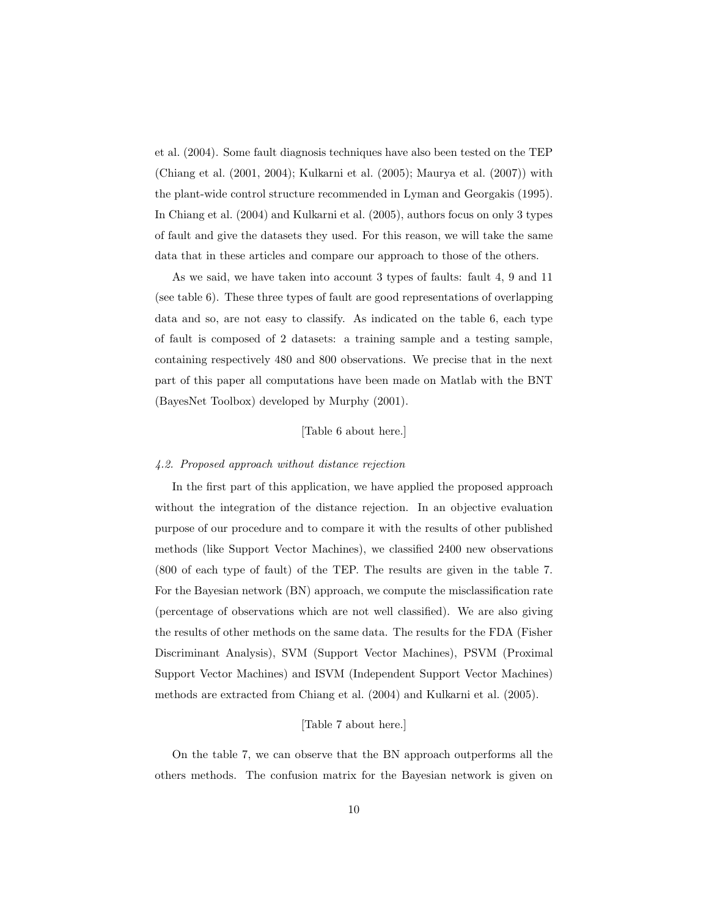et al. (2004). Some fault diagnosis techniques have also been tested on the TEP (Chiang et al. (2001, 2004); Kulkarni et al. (2005); Maurya et al. (2007)) with the plant-wide control structure recommended in Lyman and Georgakis (1995). In Chiang et al. (2004) and Kulkarni et al. (2005), authors focus on only 3 types of fault and give the datasets they used. For this reason, we will take the same data that in these articles and compare our approach to those of the others.

As we said, we have taken into account 3 types of faults: fault 4, 9 and 11 (see table 6). These three types of fault are good representations of overlapping data and so, are not easy to classify. As indicated on the table 6, each type of fault is composed of 2 datasets: a training sample and a testing sample, containing respectively 480 and 800 observations. We precise that in the next part of this paper all computations have been made on Matlab with the BNT (BayesNet Toolbox) developed by Murphy (2001).

### [Table 6 about here.]

### 4.2. Proposed approach without distance rejection

In the first part of this application, we have applied the proposed approach without the integration of the distance rejection. In an objective evaluation purpose of our procedure and to compare it with the results of other published methods (like Support Vector Machines), we classified 2400 new observations (800 of each type of fault) of the TEP. The results are given in the table 7. For the Bayesian network (BN) approach, we compute the misclassification rate (percentage of observations which are not well classified). We are also giving the results of other methods on the same data. The results for the FDA (Fisher Discriminant Analysis), SVM (Support Vector Machines), PSVM (Proximal Support Vector Machines) and ISVM (Independent Support Vector Machines) methods are extracted from Chiang et al. (2004) and Kulkarni et al. (2005).

### [Table 7 about here.]

On the table 7, we can observe that the BN approach outperforms all the others methods. The confusion matrix for the Bayesian network is given on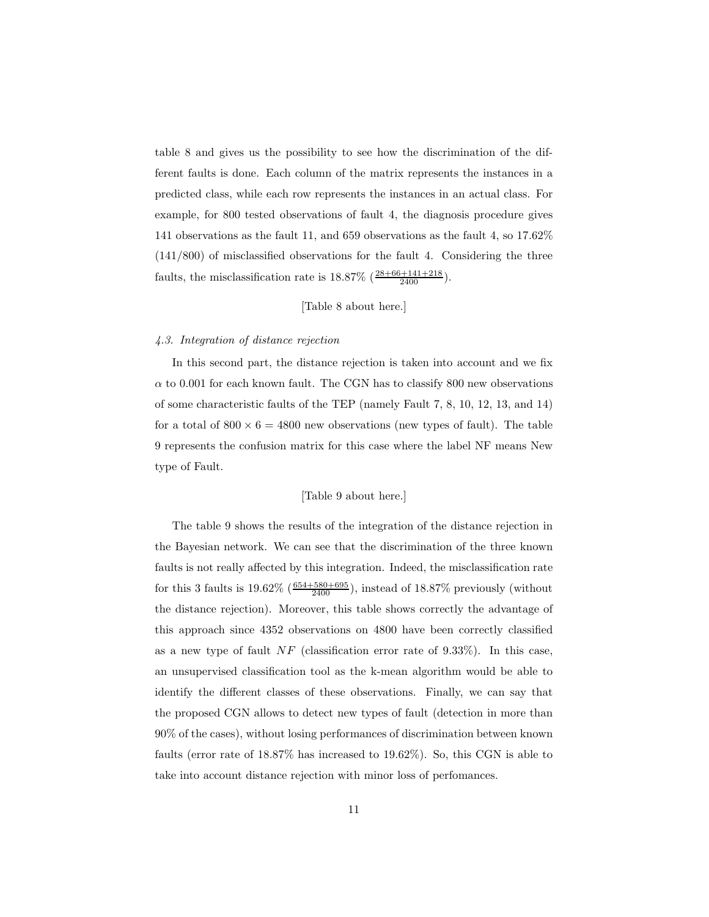table 8 and gives us the possibility to see how the discrimination of the different faults is done. Each column of the matrix represents the instances in a predicted class, while each row represents the instances in an actual class. For example, for 800 tested observations of fault 4, the diagnosis procedure gives 141 observations as the fault 11, and 659 observations as the fault 4, so 17.62% (141/800) of misclassified observations for the fault 4. Considering the three faults, the misclassification rate is  $18.87\% \left( \frac{28+66+141+218}{2400} \right)$ .

### [Table 8 about here.]

#### 4.3. Integration of distance rejection

In this second part, the distance rejection is taken into account and we fix  $\alpha$  to 0.001 for each known fault. The CGN has to classify 800 new observations of some characteristic faults of the TEP (namely Fault 7, 8, 10, 12, 13, and 14) for a total of  $800 \times 6 = 4800$  new observations (new types of fault). The table 9 represents the confusion matrix for this case where the label NF means New type of Fault.

### [Table 9 about here.]

The table 9 shows the results of the integration of the distance rejection in the Bayesian network. We can see that the discrimination of the three known faults is not really affected by this integration. Indeed, the misclassification rate for this 3 faults is  $19.62\% \left( \frac{654+580+695}{2400} \right)$ , instead of  $18.87\%$  previously (without the distance rejection). Moreover, this table shows correctly the advantage of this approach since 4352 observations on 4800 have been correctly classified as a new type of fault  $NF$  (classification error rate of 9.33%). In this case, an unsupervised classification tool as the k-mean algorithm would be able to identify the different classes of these observations. Finally, we can say that the proposed CGN allows to detect new types of fault (detection in more than 90% of the cases), without losing performances of discrimination between known faults (error rate of 18.87% has increased to 19.62%). So, this CGN is able to take into account distance rejection with minor loss of perfomances.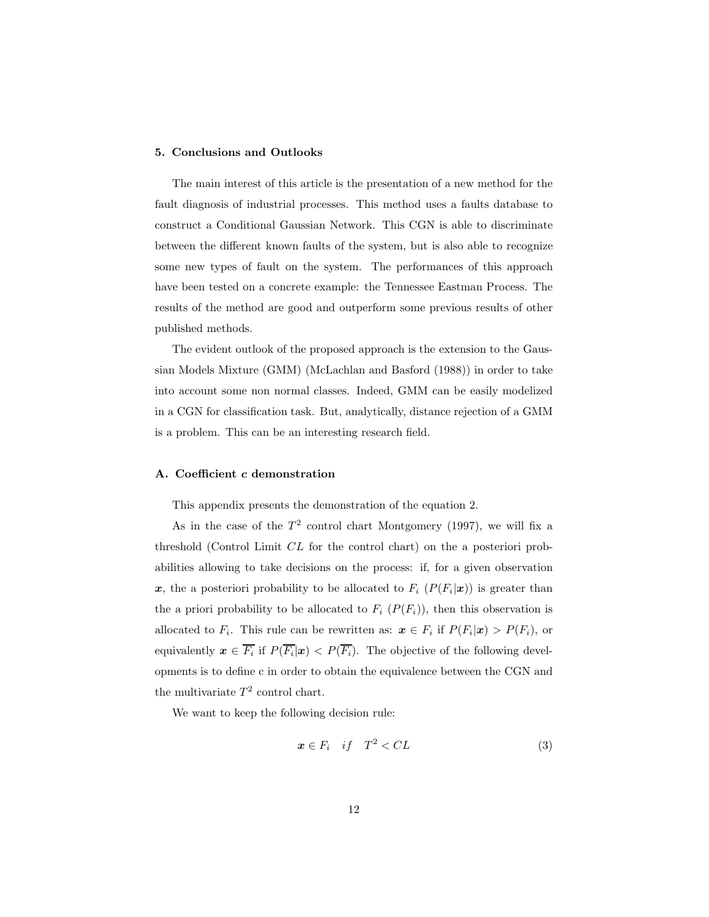### 5. Conclusions and Outlooks

The main interest of this article is the presentation of a new method for the fault diagnosis of industrial processes. This method uses a faults database to construct a Conditional Gaussian Network. This CGN is able to discriminate between the different known faults of the system, but is also able to recognize some new types of fault on the system. The performances of this approach have been tested on a concrete example: the Tennessee Eastman Process. The results of the method are good and outperform some previous results of other published methods.

The evident outlook of the proposed approach is the extension to the Gaussian Models Mixture (GMM) (McLachlan and Basford (1988)) in order to take into account some non normal classes. Indeed, GMM can be easily modelized in a CGN for classification task. But, analytically, distance rejection of a GMM is a problem. This can be an interesting research field.

### A. Coefficient c demonstration

This appendix presents the demonstration of the equation 2.

As in the case of the  $T^2$  control chart Montgomery (1997), we will fix a threshold (Control Limit CL for the control chart) on the a posteriori probabilities allowing to take decisions on the process: if, for a given observation x, the a posteriori probability to be allocated to  $F_i$   $(P(F_i|x))$  is greater than the a priori probability to be allocated to  $F_i$   $(P(F_i))$ , then this observation is allocated to  $F_i$ . This rule can be rewritten as:  $\mathbf{x} \in F_i$  if  $P(F_i|\mathbf{x}) > P(F_i)$ , or equivalently  $x \in F_i$  if  $P(F_i|x) < P(F_i)$ . The objective of the following developments is to define c in order to obtain the equivalence between the CGN and the multivariate  $T^2$  control chart.

We want to keep the following decision rule:

$$
x \in F_i \quad if \quad T^2 < CL \tag{3}
$$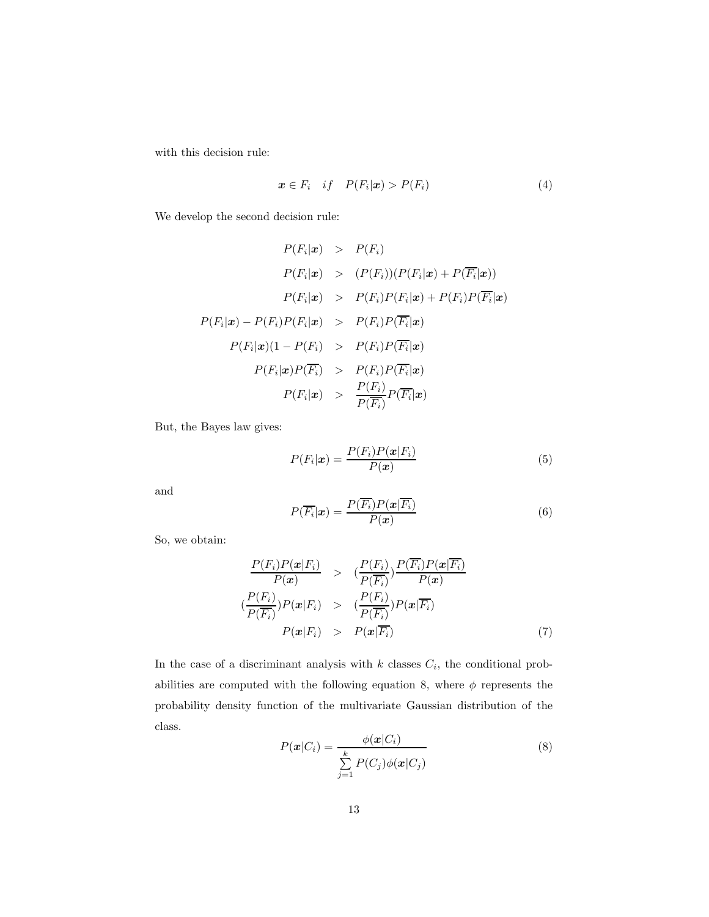with this decision rule:

$$
\boldsymbol{x} \in F_i \quad \text{if} \quad P(F_i|\boldsymbol{x}) > P(F_i) \tag{4}
$$

We develop the second decision rule:

$$
P(F_i|\mathbf{x}) > P(F_i)
$$
  
\n
$$
P(F_i|\mathbf{x}) > (P(F_i))(P(F_i|\mathbf{x}) + P(\overline{F_i}|\mathbf{x}))
$$
  
\n
$$
P(F_i|\mathbf{x}) > P(F_i)P(F_i|\mathbf{x}) + P(F_i)P(\overline{F_i}|\mathbf{x})
$$
  
\n
$$
P(F_i|\mathbf{x}) - P(F_i)P(F_i|\mathbf{x}) > P(F_i)P(\overline{F_i}|\mathbf{x})
$$
  
\n
$$
P(F_i|\mathbf{x})(1 - P(F_i) > P(F_i)P(\overline{F_i}|\mathbf{x})
$$
  
\n
$$
P(F_i|\mathbf{x})P(\overline{F_i}) > P(F_i)P(\overline{F_i}|\mathbf{x})
$$
  
\n
$$
P(F_i|\mathbf{x}) > \frac{P(F_i)}{P(\overline{F_i})}P(\overline{F_i}|\mathbf{x})
$$

But, the Bayes law gives:

$$
P(F_i|\boldsymbol{x}) = \frac{P(F_i)P(\boldsymbol{x}|F_i)}{P(\boldsymbol{x})}
$$
\n<sup>(5)</sup>

and

$$
P(\overline{F_i}|\mathbf{x}) = \frac{P(\overline{F_i})P(\mathbf{x}|\overline{F_i})}{P(\mathbf{x})}
$$
\n(6)

So, we obtain:

$$
\frac{P(F_i)P(\mathbf{x}|F_i)}{P(\mathbf{x})} > \frac{P(F_i)}{P(\overline{F_i})} \frac{P(\overline{F_i})P(\mathbf{x}|\overline{F_i})}{P(\mathbf{x})}
$$
\n
$$
\frac{P(F_i)}{P(\overline{F_i})} \frac{P(\mathbf{x}|F_i)}{P(\overline{F_i})} > \frac{P(F_i)}{P(\overline{F_i})} \frac{P(\mathbf{x}|\overline{F_i})}{P(\mathbf{x}|\overline{F_i})}
$$
\n
$$
P(\mathbf{x}|F_i) > P(\mathbf{x}|\overline{F_i}) \tag{7}
$$

In the case of a discriminant analysis with  $k$  classes  $C_i$ , the conditional probabilities are computed with the following equation 8, where  $\phi$  represents the probability density function of the multivariate Gaussian distribution of the class.

$$
P(\boldsymbol{x}|C_i) = \frac{\phi(\boldsymbol{x}|C_i)}{\sum\limits_{j=1}^k P(C_j)\phi(\boldsymbol{x}|C_j)}
$$
(8)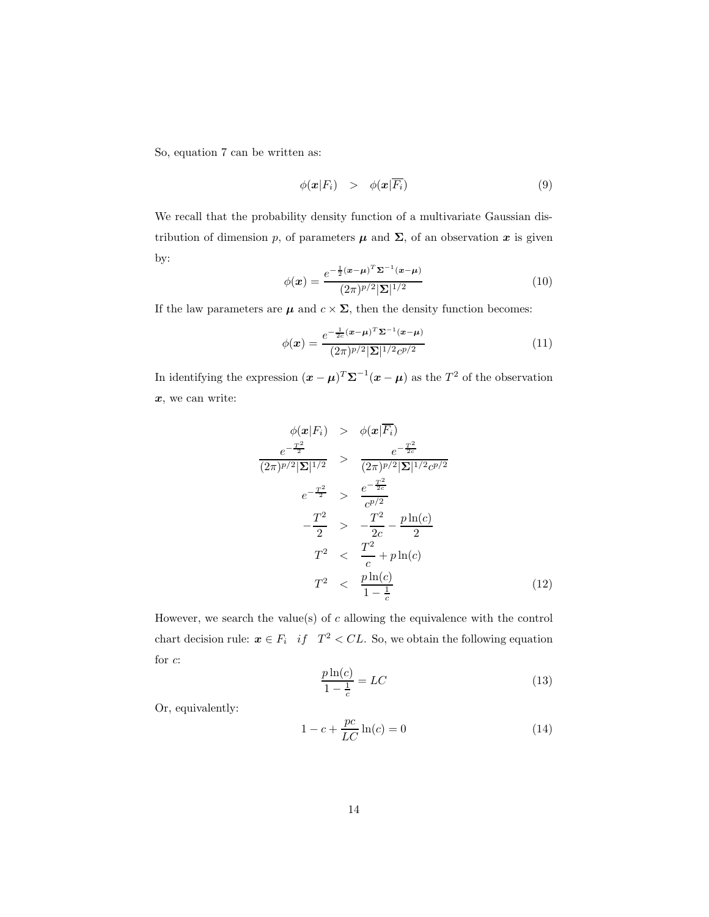So, equation 7 can be written as:

$$
\phi(\mathbf{x}|F_i) > \phi(\mathbf{x}|\overline{F_i}) \tag{9}
$$

We recall that the probability density function of a multivariate Gaussian distribution of dimension p, of parameters  $\mu$  and  $\Sigma$ , of an observation x is given by:

$$
\phi(\boldsymbol{x}) = \frac{e^{-\frac{1}{2}(\boldsymbol{x} - \boldsymbol{\mu})^T \boldsymbol{\Sigma}^{-1}(\boldsymbol{x} - \boldsymbol{\mu})}}{(2\pi)^{p/2} |\boldsymbol{\Sigma}|^{1/2}}
$$
(10)

If the law parameters are  $\mu$  and  $c \times \Sigma$ , then the density function becomes:

$$
\phi(\boldsymbol{x}) = \frac{e^{-\frac{1}{2c}(\boldsymbol{x} - \boldsymbol{\mu})^T \Sigma^{-1}(\boldsymbol{x} - \boldsymbol{\mu})}}{(2\pi)^{p/2} |\Sigma|^{1/2} c^{p/2}}
$$
(11)

In identifying the expression  $(\mathbf{x} - \boldsymbol{\mu})^T \boldsymbol{\Sigma}^{-1} (\mathbf{x} - \boldsymbol{\mu})$  as the  $T^2$  of the observation x, we can write:

$$
\phi(\mathbf{z}|F_i) > \phi(\mathbf{x}|\overline{F_i})
$$
\n
$$
\frac{e^{-\frac{T^2}{2}}}{(2\pi)^{p/2}|\Sigma|^{1/2}} > \frac{e^{-\frac{T^2}{2c}}}{(2\pi)^{p/2}|\Sigma|^{1/2}c^{p/2}}
$$
\n
$$
e^{-\frac{T^2}{2}} > \frac{e^{-\frac{T^2}{2c}}}{c^{p/2}}
$$
\n
$$
-\frac{T^2}{2} > -\frac{T^2}{2c} - \frac{p\ln(c)}{2}
$$
\n
$$
T^2 < \frac{T^2}{c} + p\ln(c)
$$
\n
$$
T^2 < \frac{p\ln(c)}{1-\frac{1}{c}}
$$
\n(12)

However, we search the value(s) of  $c$  allowing the equivalence with the control chart decision rule:  $x \in F_i$  if  $T^2 < CL$ . So, we obtain the following equation for c:

$$
\frac{p\ln(c)}{1-\frac{1}{c}} = LC\tag{13}
$$

Or, equivalently:

$$
1 - c + \frac{pc}{LC} \ln(c) = 0 \tag{14}
$$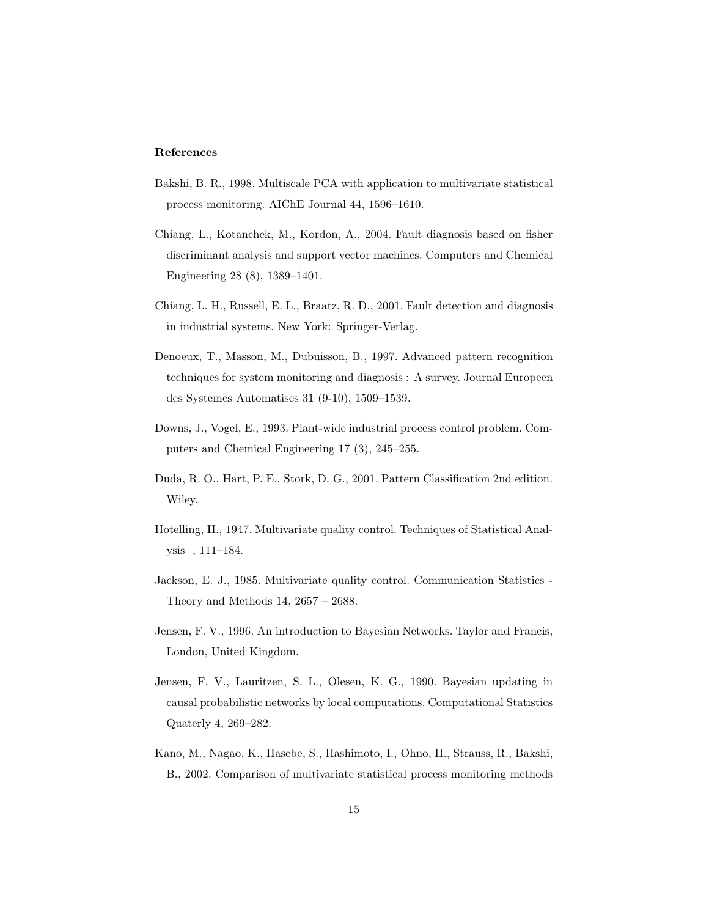### References

- Bakshi, B. R., 1998. Multiscale PCA with application to multivariate statistical process monitoring. AIChE Journal 44, 1596–1610.
- Chiang, L., Kotanchek, M., Kordon, A., 2004. Fault diagnosis based on fisher discriminant analysis and support vector machines. Computers and Chemical Engineering 28 (8), 1389–1401.
- Chiang, L. H., Russell, E. L., Braatz, R. D., 2001. Fault detection and diagnosis in industrial systems. New York: Springer-Verlag.
- Denoeux, T., Masson, M., Dubuisson, B., 1997. Advanced pattern recognition techniques for system monitoring and diagnosis : A survey. Journal Europeen des Systemes Automatises 31 (9-10), 1509–1539.
- Downs, J., Vogel, E., 1993. Plant-wide industrial process control problem. Computers and Chemical Engineering 17 (3), 245–255.
- Duda, R. O., Hart, P. E., Stork, D. G., 2001. Pattern Classification 2nd edition. Wiley.
- Hotelling, H., 1947. Multivariate quality control. Techniques of Statistical Analysis , 111–184.
- Jackson, E. J., 1985. Multivariate quality control. Communication Statistics Theory and Methods 14, 2657 – 2688.
- Jensen, F. V., 1996. An introduction to Bayesian Networks. Taylor and Francis, London, United Kingdom.
- Jensen, F. V., Lauritzen, S. L., Olesen, K. G., 1990. Bayesian updating in causal probabilistic networks by local computations. Computational Statistics Quaterly 4, 269–282.
- Kano, M., Nagao, K., Hasebe, S., Hashimoto, I., Ohno, H., Strauss, R., Bakshi, B., 2002. Comparison of multivariate statistical process monitoring methods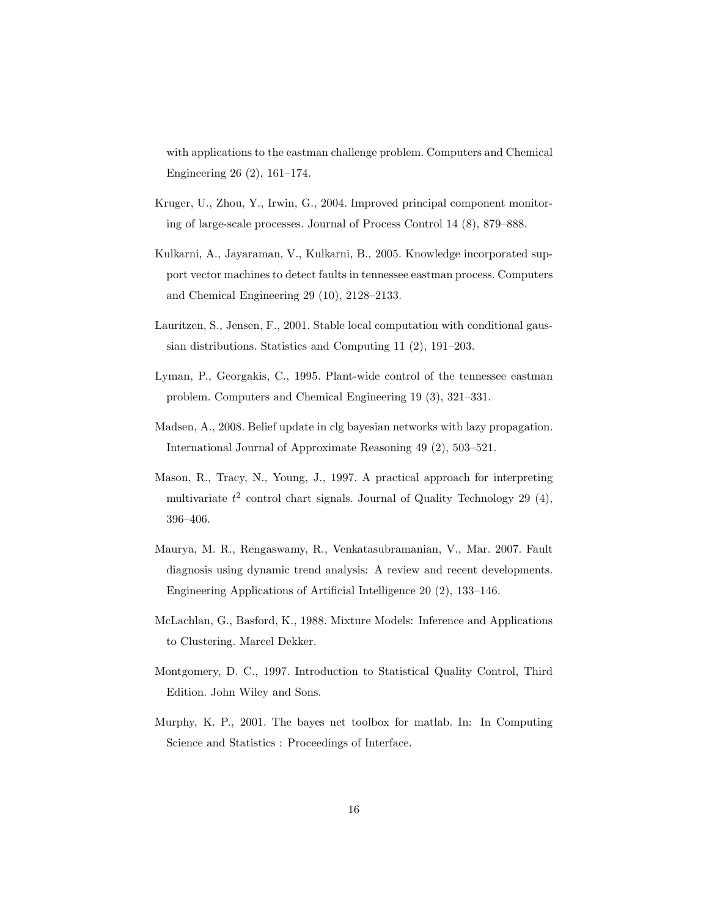with applications to the eastman challenge problem. Computers and Chemical Engineering 26 (2), 161–174.

- Kruger, U., Zhou, Y., Irwin, G., 2004. Improved principal component monitoring of large-scale processes. Journal of Process Control 14 (8), 879–888.
- Kulkarni, A., Jayaraman, V., Kulkarni, B., 2005. Knowledge incorporated support vector machines to detect faults in tennessee eastman process. Computers and Chemical Engineering 29 (10), 2128–2133.
- Lauritzen, S., Jensen, F., 2001. Stable local computation with conditional gaussian distributions. Statistics and Computing 11 (2), 191–203.
- Lyman, P., Georgakis, C., 1995. Plant-wide control of the tennessee eastman problem. Computers and Chemical Engineering 19 (3), 321–331.
- Madsen, A., 2008. Belief update in clg bayesian networks with lazy propagation. International Journal of Approximate Reasoning 49 (2), 503–521.
- Mason, R., Tracy, N., Young, J., 1997. A practical approach for interpreting multivariate  $t^2$  control chart signals. Journal of Quality Technology 29 (4), 396–406.
- Maurya, M. R., Rengaswamy, R., Venkatasubramanian, V., Mar. 2007. Fault diagnosis using dynamic trend analysis: A review and recent developments. Engineering Applications of Artificial Intelligence 20 (2), 133–146.
- McLachlan, G., Basford, K., 1988. Mixture Models: Inference and Applications to Clustering. Marcel Dekker.
- Montgomery, D. C., 1997. Introduction to Statistical Quality Control, Third Edition. John Wiley and Sons.
- Murphy, K. P., 2001. The bayes net toolbox for matlab. In: In Computing Science and Statistics : Proceedings of Interface.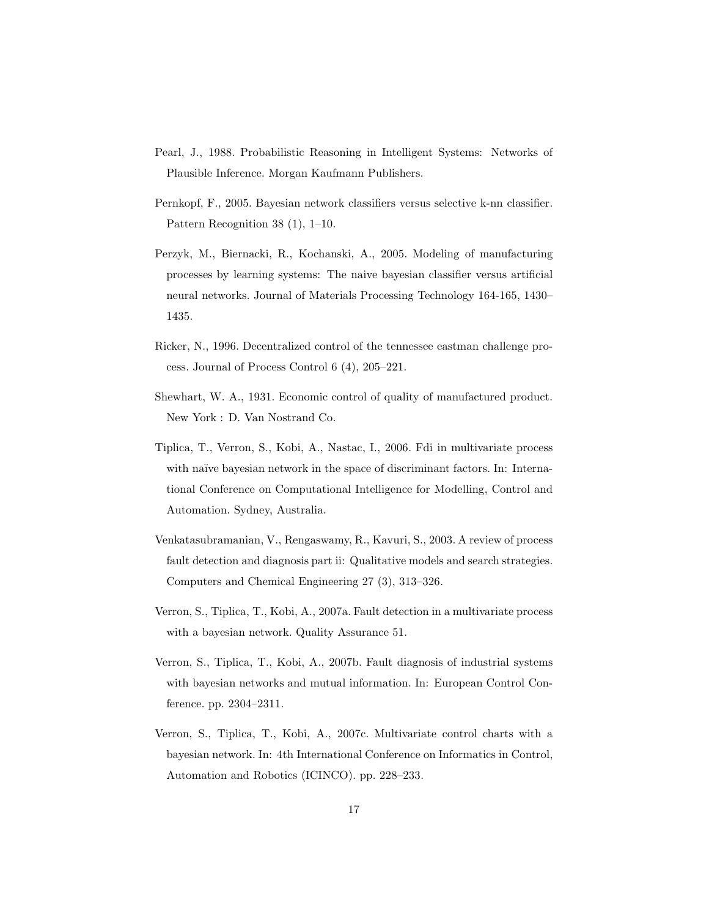- Pearl, J., 1988. Probabilistic Reasoning in Intelligent Systems: Networks of Plausible Inference. Morgan Kaufmann Publishers.
- Pernkopf, F., 2005. Bayesian network classifiers versus selective k-nn classifier. Pattern Recognition 38 (1), 1–10.
- Perzyk, M., Biernacki, R., Kochanski, A., 2005. Modeling of manufacturing processes by learning systems: The naive bayesian classifier versus artificial neural networks. Journal of Materials Processing Technology 164-165, 1430– 1435.
- Ricker, N., 1996. Decentralized control of the tennessee eastman challenge process. Journal of Process Control 6 (4), 205–221.
- Shewhart, W. A., 1931. Economic control of quality of manufactured product. New York : D. Van Nostrand Co.
- Tiplica, T., Verron, S., Kobi, A., Nastac, I., 2006. Fdi in multivariate process with naïve bayesian network in the space of discriminant factors. In: International Conference on Computational Intelligence for Modelling, Control and Automation. Sydney, Australia.
- Venkatasubramanian, V., Rengaswamy, R., Kavuri, S., 2003. A review of process fault detection and diagnosis part ii: Qualitative models and search strategies. Computers and Chemical Engineering 27 (3), 313–326.
- Verron, S., Tiplica, T., Kobi, A., 2007a. Fault detection in a multivariate process with a bayesian network. Quality Assurance 51.
- Verron, S., Tiplica, T., Kobi, A., 2007b. Fault diagnosis of industrial systems with bayesian networks and mutual information. In: European Control Conference. pp. 2304–2311.
- Verron, S., Tiplica, T., Kobi, A., 2007c. Multivariate control charts with a bayesian network. In: 4th International Conference on Informatics in Control, Automation and Robotics (ICINCO). pp. 228–233.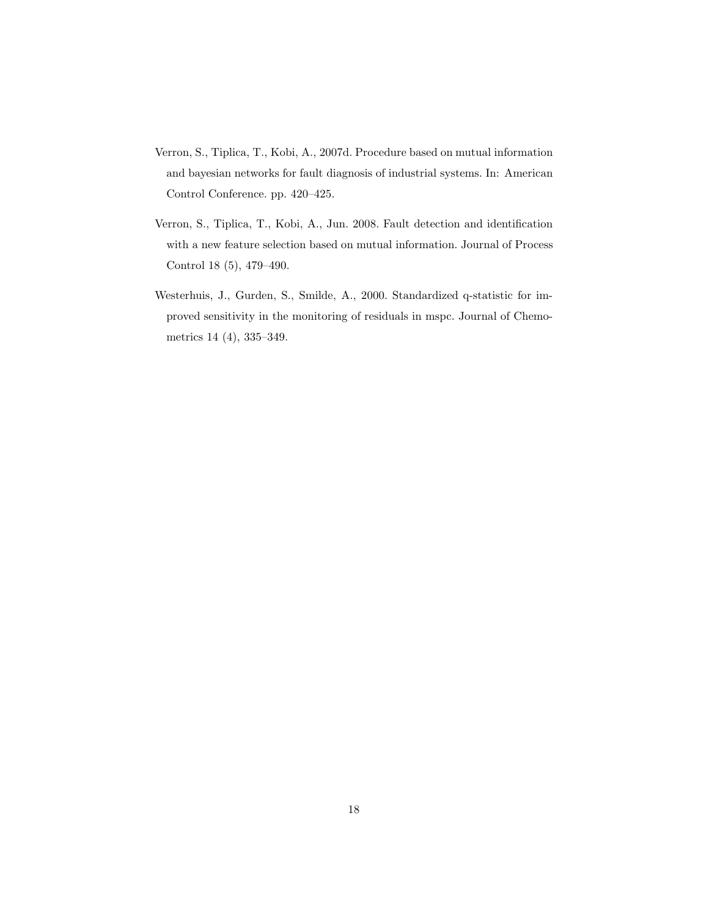- Verron, S., Tiplica, T., Kobi, A., 2007d. Procedure based on mutual information and bayesian networks for fault diagnosis of industrial systems. In: American Control Conference. pp. 420–425.
- Verron, S., Tiplica, T., Kobi, A., Jun. 2008. Fault detection and identification with a new feature selection based on mutual information. Journal of Process Control 18 (5), 479–490.
- Westerhuis, J., Gurden, S., Smilde, A., 2000. Standardized q-statistic for improved sensitivity in the monitoring of residuals in mspc. Journal of Chemometrics 14 (4), 335–349.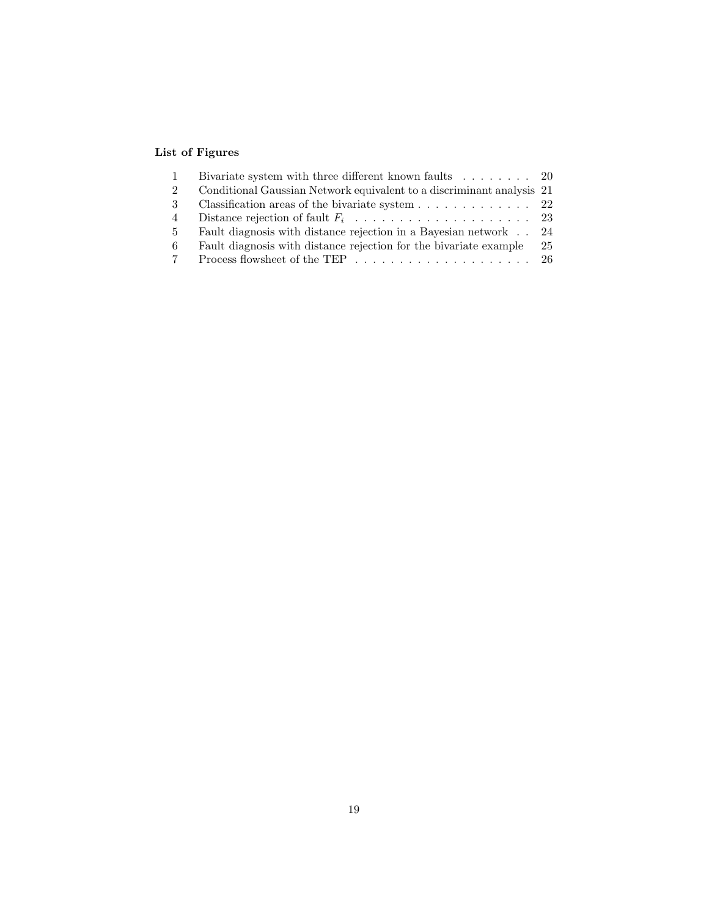## List of Figures

|    | Bivariate system with three different known faults $\ldots \ldots \ldots$ 20  |    |
|----|-------------------------------------------------------------------------------|----|
| 2  | Conditional Gaussian Network equivalent to a discriminant analysis 21         |    |
| -3 | Classification areas of the bivariate system $\ldots \ldots \ldots \ldots$ 22 |    |
| 4  |                                                                               |    |
| .5 | Fault diagnosis with distance rejection in a Bayesian network 24              |    |
| -6 | Fault diagnosis with distance rejection for the bivariate example             | 25 |
|    |                                                                               |    |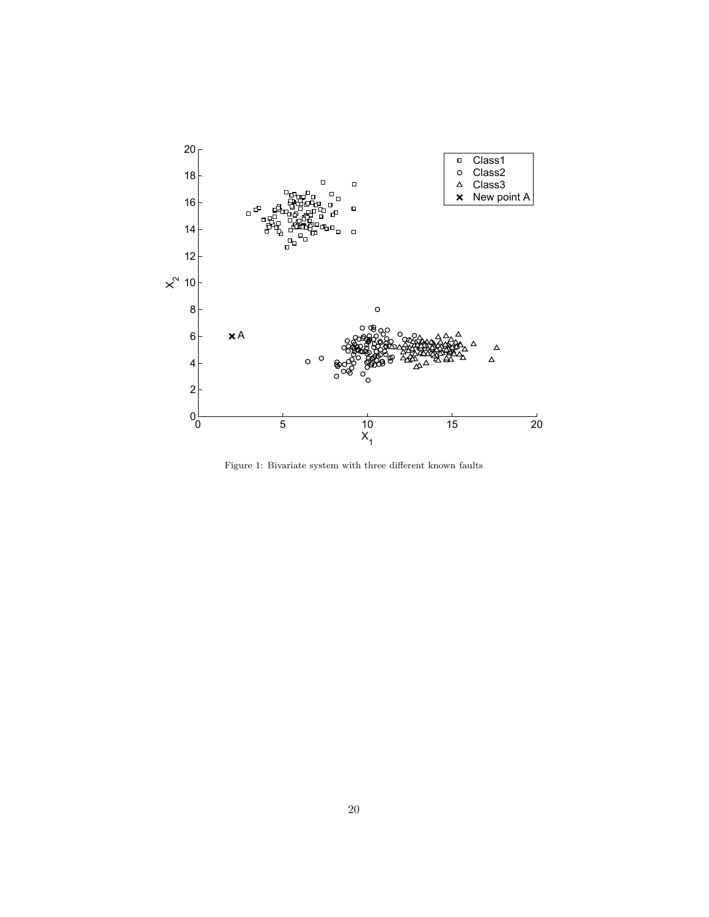

Figure 1: Bivariate system with three different known faults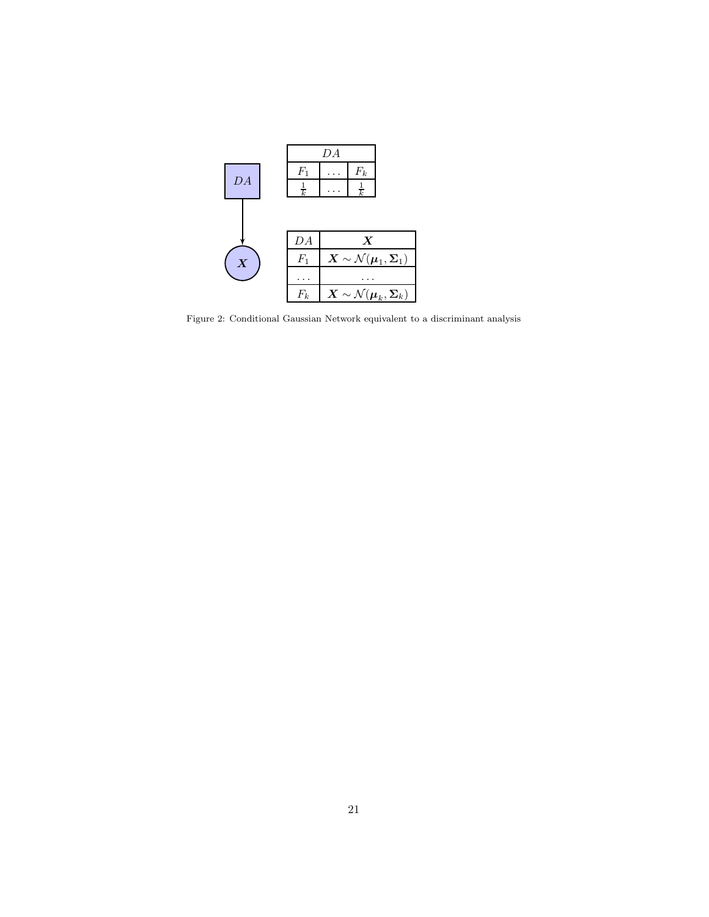

Figure 2: Conditional Gaussian Network equivalent to a discriminant analysis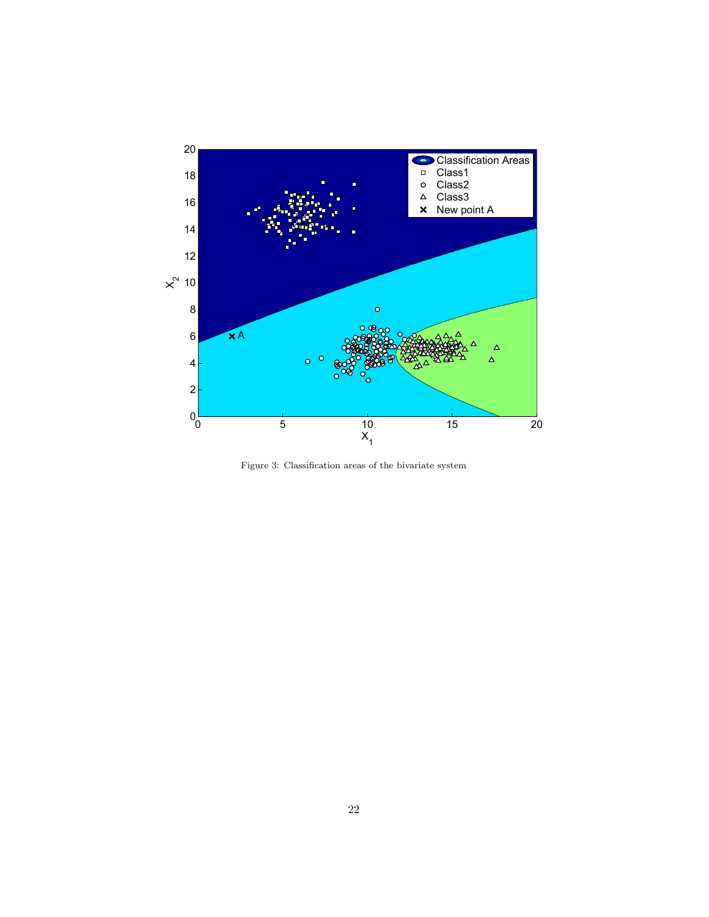

Figure 3: Classification areas of the bivariate system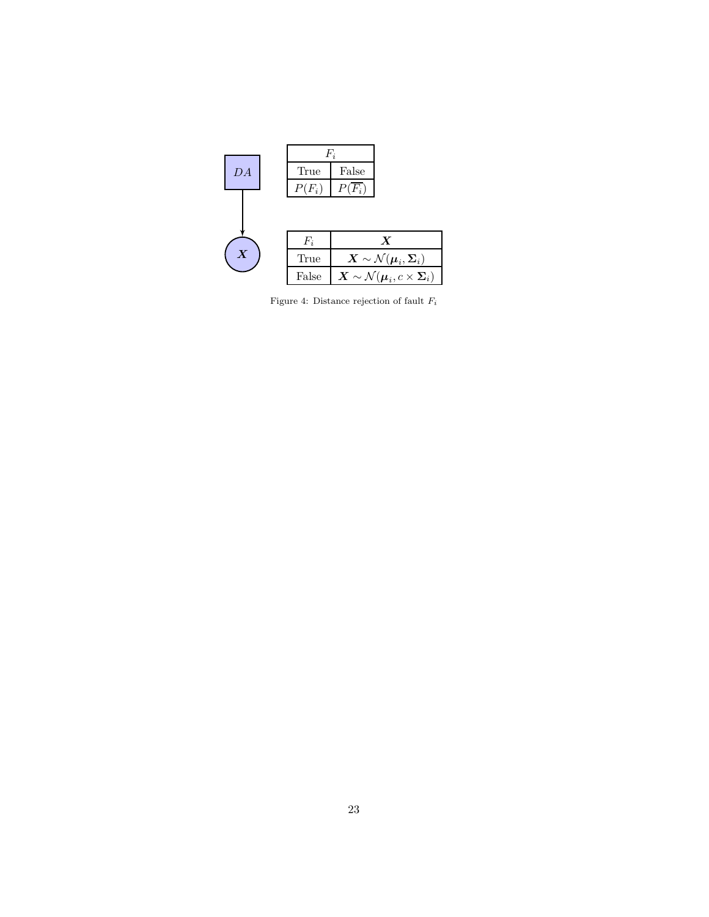|                  |          | $F_i$    |                                                                                       |
|------------------|----------|----------|---------------------------------------------------------------------------------------|
| DA               | True     | False    |                                                                                       |
|                  | $P(F_i)$ | $P(F_i)$ |                                                                                       |
|                  |          |          |                                                                                       |
|                  | $F_i$    |          | $\boldsymbol{X}$                                                                      |
| $\boldsymbol{X}$ | True     |          | $\boldsymbol{X} \sim \mathcal{N}(\boldsymbol{\mu}_i, \boldsymbol{\Sigma}_i)$          |
|                  | False    |          | $\boldsymbol{X} \sim \mathcal{N}(\boldsymbol{\mu}_i, c \times \boldsymbol{\Sigma}_i)$ |

Figure 4: Distance rejection of fault  $F_i$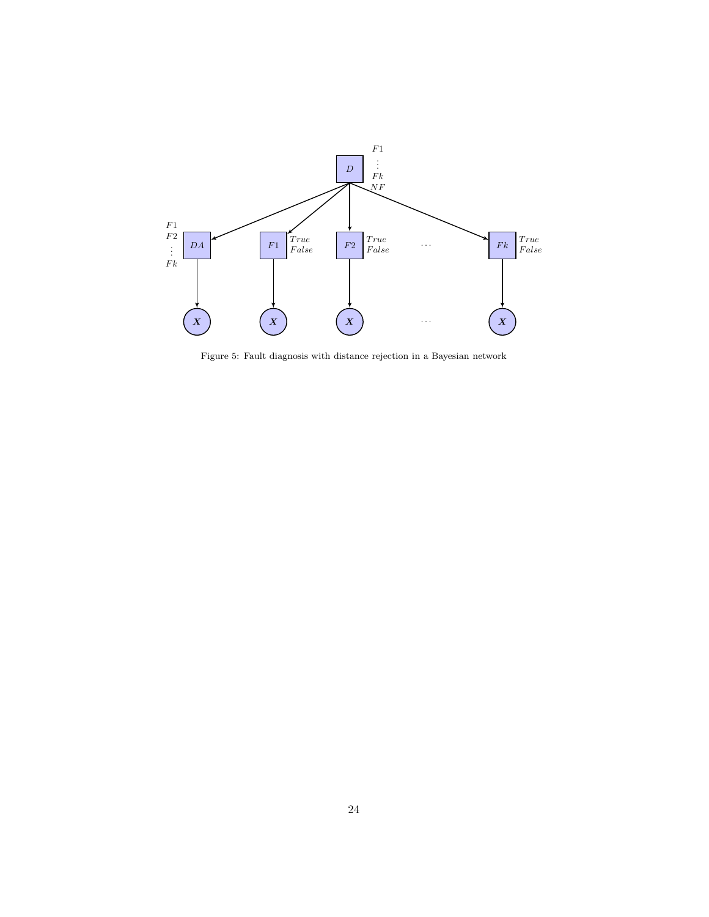

Figure 5: Fault diagnosis with distance rejection in a Bayesian network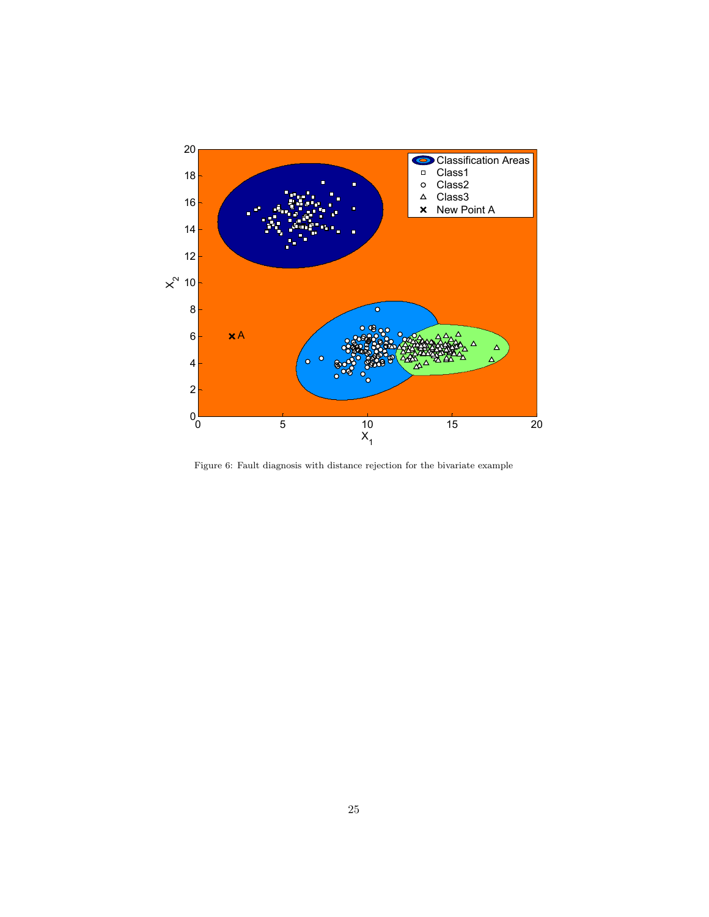

Figure 6: Fault diagnosis with distance rejection for the bivariate example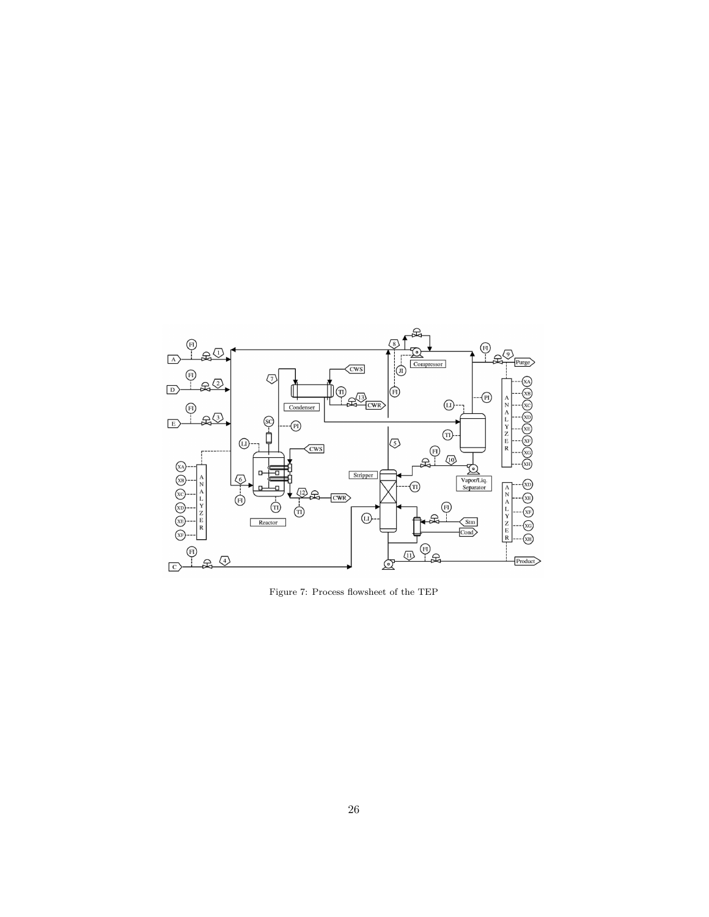

Figure 7: Process flowsheet of the TEP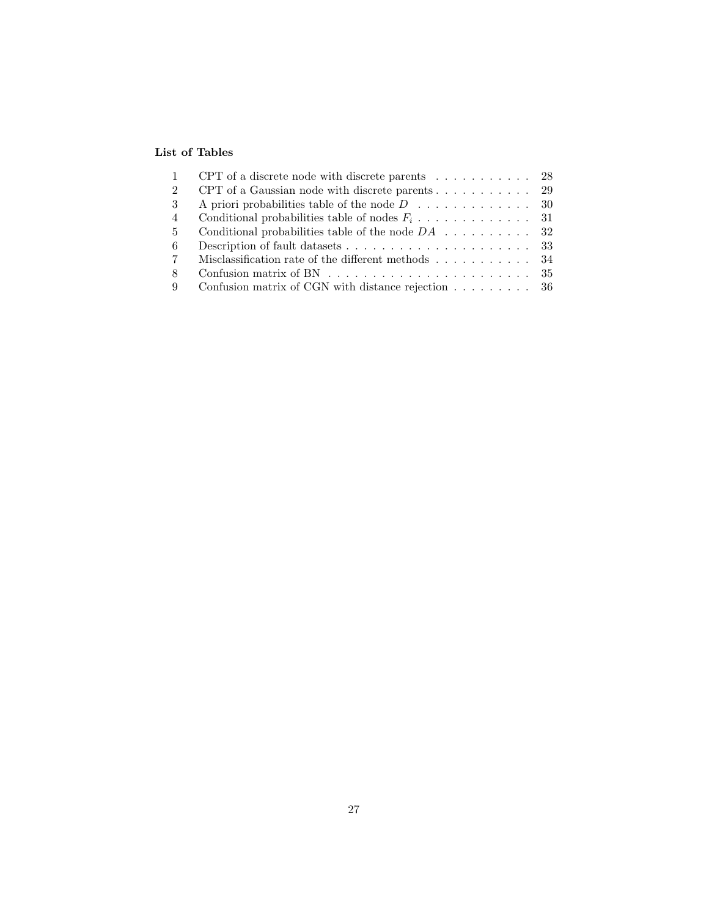### List of Tables

| $\mathbf{1}$   | CPT of a discrete node with discrete parents $\ldots \ldots \ldots$ 28        |  |
|----------------|-------------------------------------------------------------------------------|--|
| 2              | CPT of a Gaussian node with discrete parents $\ldots \ldots \ldots$ 29        |  |
| 3              | A priori probabilities table of the node $D \dots \dots \dots \dots \dots$ 30 |  |
| 4              |                                                                               |  |
| $5^{\circ}$    |                                                                               |  |
| 6              |                                                                               |  |
| $7\phantom{.}$ | Misclassification rate of the different methods $\dots \dots \dots \dots$ 34  |  |
| 8              |                                                                               |  |
| 9              | Confusion matrix of CGN with distance rejection $\ldots \ldots \ldots$ 36     |  |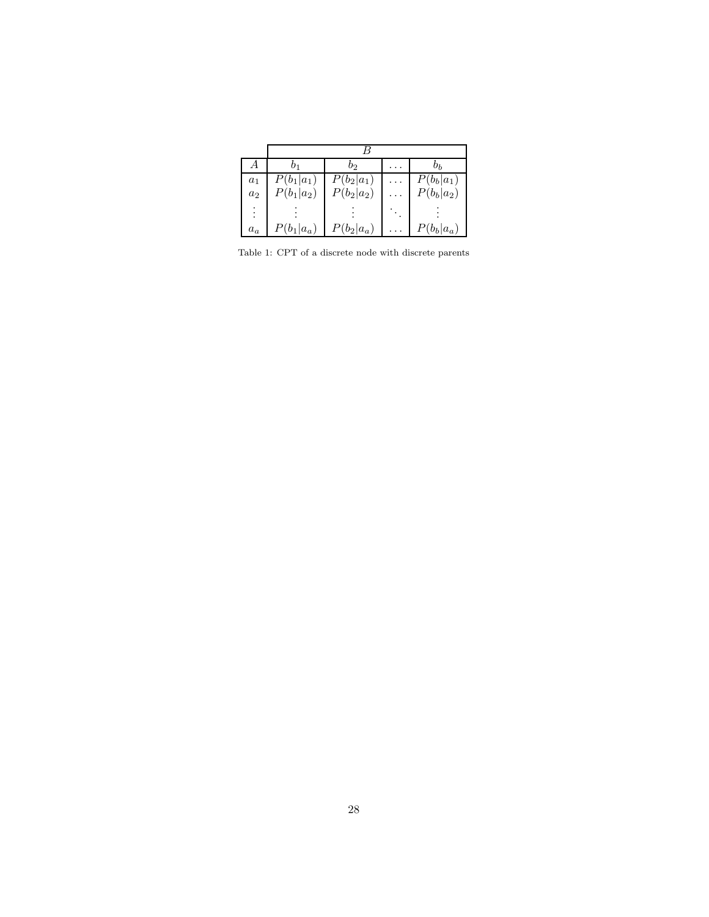| А     | 01           | b2           |  | Dь                        |  |  |  |
|-------|--------------|--------------|--|---------------------------|--|--|--|
| $a_1$ | $P(b_1 a_1)$ | $P(b_2 a_1)$ |  | $P(b_b a_1)$              |  |  |  |
| $a_2$ | $P(b_1 a_2)$ | $P(b_2 a_2)$ |  | $P(b_b a_2)$              |  |  |  |
|       |              |              |  |                           |  |  |  |
| $a_a$ | $P(b_1 a_a)$ | $P(b_2 a_a)$ |  | $P(b_b a_{\underline a})$ |  |  |  |

Table 1: CPT of a discrete node with discrete parents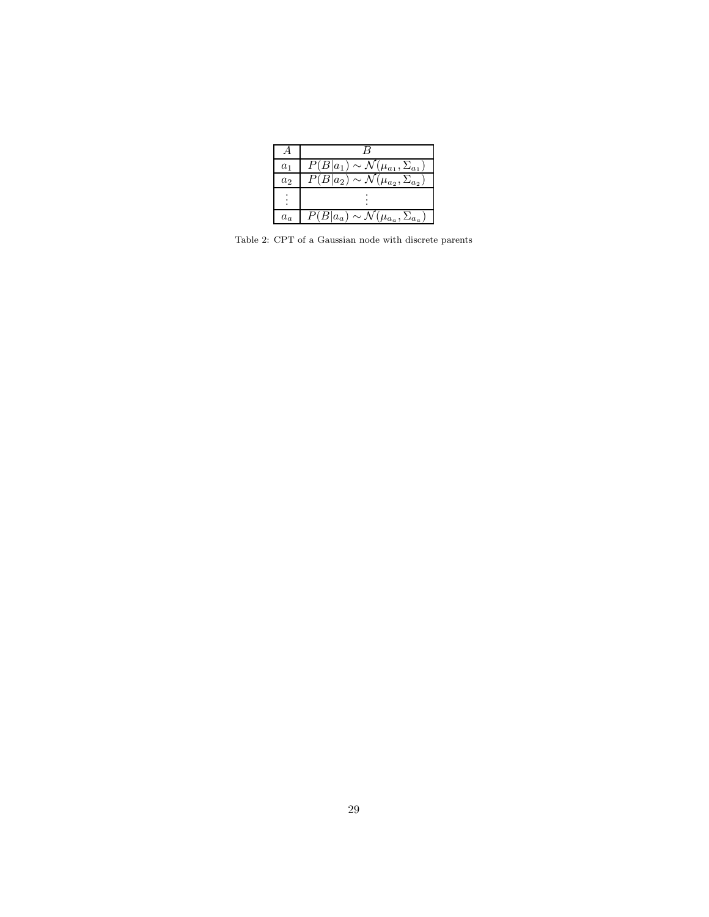| $a_1$ | $\overline{P}(B a_1) \sim \mathcal{N}(\mu_{a_1}, \Sigma_{a_1})$ |
|-------|-----------------------------------------------------------------|
| $a_2$ | $\overline{P(B a_2)} \sim \mathcal{N}(\mu_{a_2}, \Sigma_{a_2})$ |
|       |                                                                 |
| $a_a$ | $\overline{P(B a_a)} \sim \mathcal{N}(\mu_{a_a}, \Sigma_{a_a})$ |

Table 2: CPT of a Gaussian node with discrete parents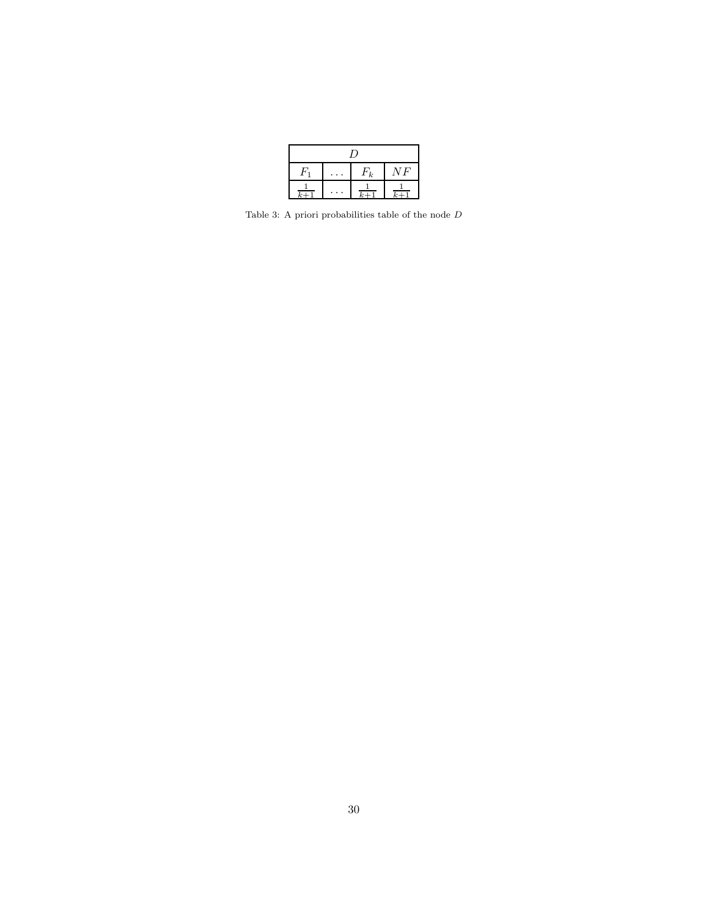| ι,         |  |          |      |  |  |  |  |
|------------|--|----------|------|--|--|--|--|
|            |  | $F_k$    | V F' |  |  |  |  |
| $\sqrt{2}$ |  | $\kappa$ |      |  |  |  |  |

Table 3: A priori probabilities table of the node  ${\cal D}$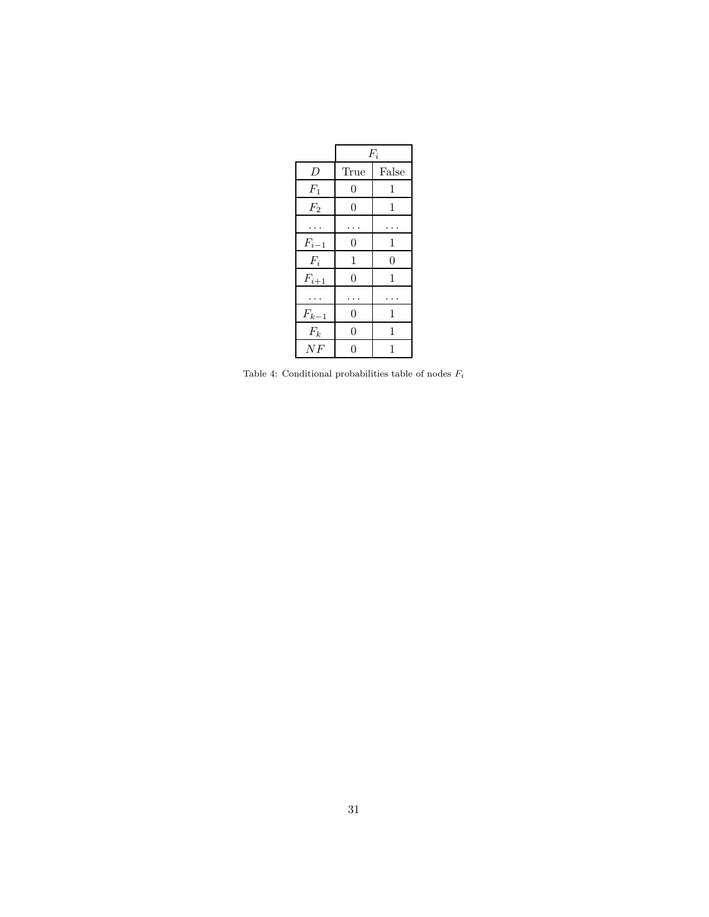|           |                  | $F_i$            |
|-----------|------------------|------------------|
| D         | True             | False            |
| $F_1$     | $\overline{0}$   | 1                |
| $F_2$     | $\overline{0}$   | 1                |
|           |                  |                  |
| $F_{i-1}$ | $\overline{0}$   | 1                |
| $F_i$     | 1                | $\boldsymbol{0}$ |
| $F_{i+1}$ | $\overline{0}$   | 1                |
|           |                  |                  |
| $F_{k-1}$ | $\boldsymbol{0}$ | 1                |
| $F_k$     | $\overline{0}$   | 1                |
| NF        | 0                | 1                |

Table 4: Conditional probabilities table of nodes  $\mathcal{F}_i$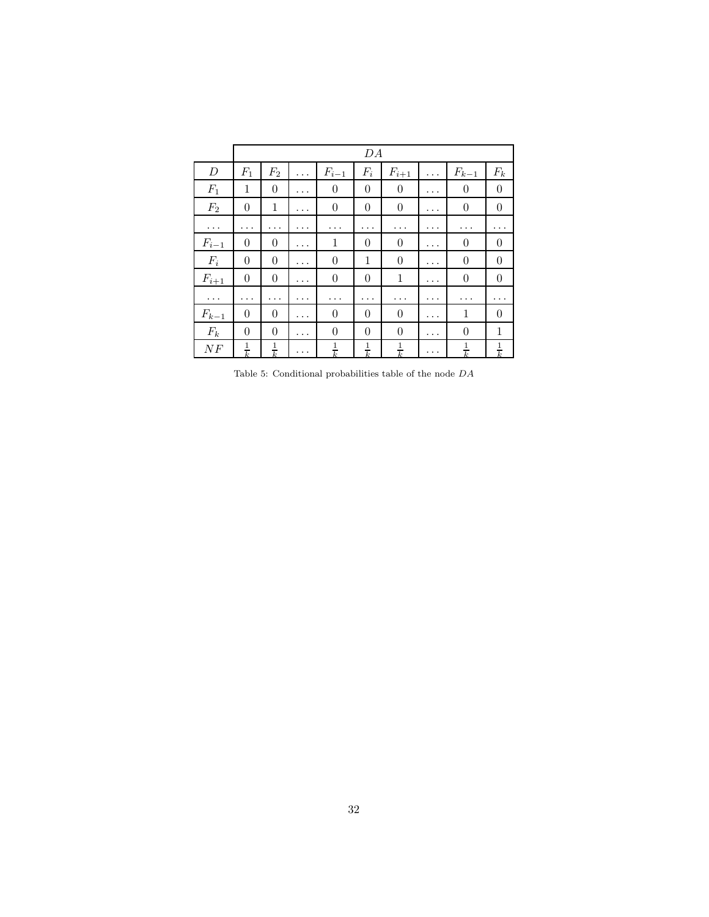|                       |                  | DA               |          |                  |                |                  |          |                       |                  |
|-----------------------|------------------|------------------|----------|------------------|----------------|------------------|----------|-----------------------|------------------|
| $\boldsymbol{D}$      | $F_1$            | $F_2$            | .        | $F_{i-1}$        | $F_i$          | $F_{i+1}$        | .        | $F_{k-\underline{1}}$ | $F_k$            |
| $F_1$                 | 1                | $\boldsymbol{0}$ | .        | $\theta$         | $\overline{0}$ | $\boldsymbol{0}$ | $\cdots$ | $\overline{0}$        | $\theta$         |
| F <sub>2</sub>        | $\theta$         | 1                | $\cdots$ | $\theta$         | $\theta$       | $\theta$         | $\cdots$ | $\boldsymbol{0}$      | $\theta$         |
| $\cdots$              | .                | .                | $\cdots$ | $\cdots$         | $\cdots$       | $\cdots$         | .        | $\cdots$              |                  |
| $F_{i-1}$             | $\boldsymbol{0}$ | $\theta$         | .        | $\mathbf{1}$     | $\theta$       | $\theta$         | .        | $\overline{0}$        | $\theta$         |
| $F_i$                 | $\theta$         | $\theta$         | $\cdots$ | $\theta$         | 1              | $\theta$         | $\cdots$ | $\overline{0}$        | $\theta$         |
| $F_{i+1}$             | $\boldsymbol{0}$ | $\boldsymbol{0}$ | $\cdots$ | $\boldsymbol{0}$ | $\theta$       | $\mathbf{1}$     | .        | $\boldsymbol{0}$      | $\boldsymbol{0}$ |
| $\cdots$              | .                | .                | .        | .                | .              | .                | .        | .                     | $\cdots$         |
| $F_{k-\underline{1}}$ | $\theta$         | $\theta$         | $\cdots$ | $\boldsymbol{0}$ | $\theta$       | $\boldsymbol{0}$ | $\cdots$ | $\mathbf{1}$          | $\overline{0}$   |
| $F_k$                 | $\theta$         | $\boldsymbol{0}$ | $\cdots$ | $\theta$         | $\overline{0}$ | $\theta$         | $\cdots$ | $\boldsymbol{0}$      | 1                |
| ΝF                    | $\frac{1}{k}$    | $\frac{1}{k}$    | $\cdots$ | $\frac{1}{k}$    | $\frac{1}{k}$  | $\frac{1}{k}$    | $\cdots$ | $\frac{1}{k}$         | $\frac{1}{k}$    |

Table 5: Conditional probabilities table of the node  $\bar{D}A$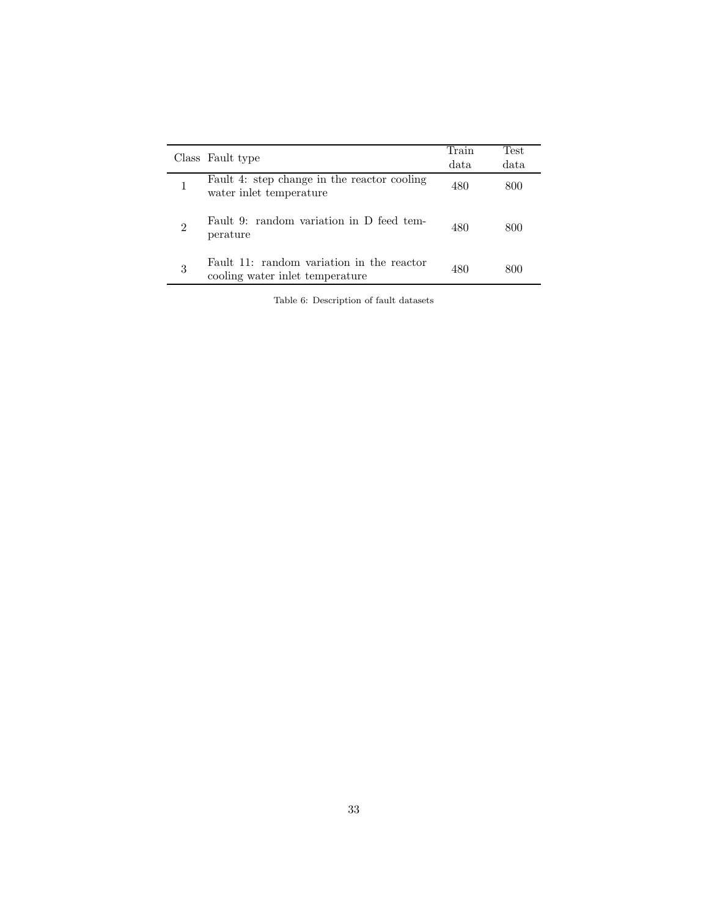|                | Class Fault type                                                             | Train<br>data | Test<br>data |
|----------------|------------------------------------------------------------------------------|---------------|--------------|
|                | Fault 4: step change in the reactor cooling<br>water inlet temperature       | 480           | 800          |
| $\overline{2}$ | Fault 9: random variation in D feed tem-<br>perature                         | 480           | 800          |
| 3              | Fault 11: random variation in the reactor<br>cooling water inlet temperature | 480           | 800          |

Table 6: Description of fault datasets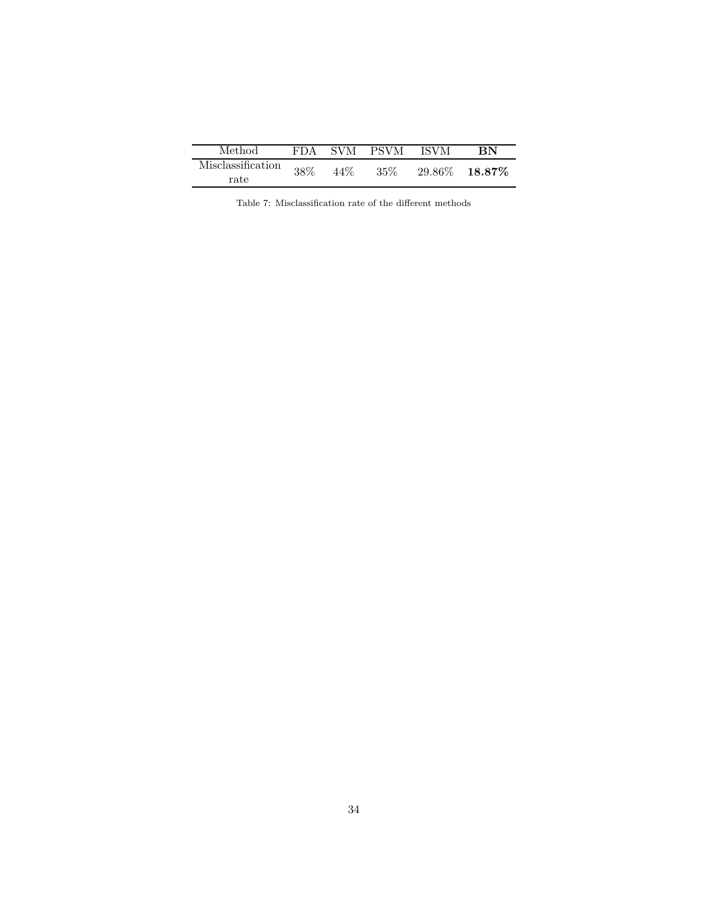| Method            | FDA. | SVM | <b>PSVM</b> | <b>ISVM</b> | RN        |
|-------------------|------|-----|-------------|-------------|-----------|
| Misclassification | 38%  | 44% | $35\%$      | 29.86%      | $18.87\%$ |
| rate              |      |     |             |             |           |

Table 7: Misclassification rate of the different methods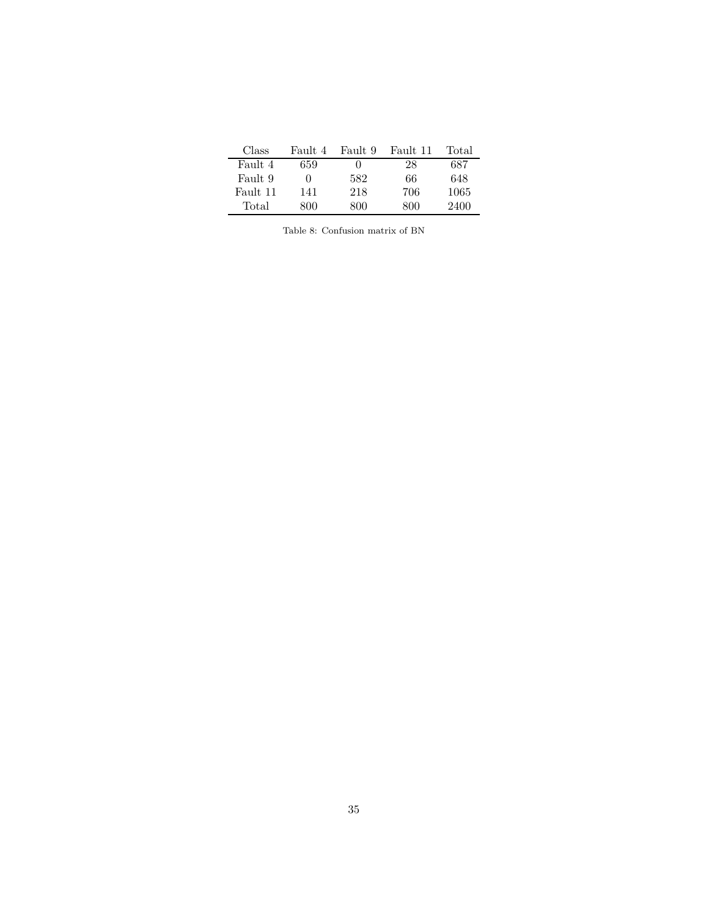| Class                           | Fault 4 | Fault 9 Fault 11 |     | Total |  |  |
|---------------------------------|---------|------------------|-----|-------|--|--|
| Fault 4                         | 659     |                  | 28  | 687   |  |  |
| Fault 9                         |         | 582              | 66  | 648   |  |  |
| Fault 11                        | 141     | 218              | 706 | 1065  |  |  |
| Total                           | 800     | 800              | 800 | 2400  |  |  |
|                                 |         |                  |     |       |  |  |
| Table 8: Confusion matrix of BN |         |                  |     |       |  |  |